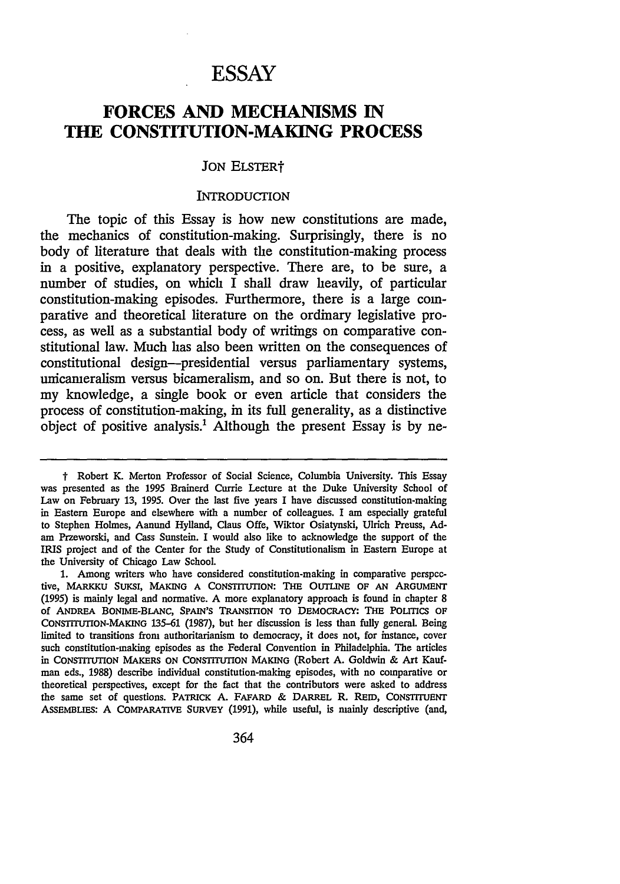# **ESSAY**

## **FORCES AND MECHANISMS IN THE CONSTITUTION-MAKING PROCESS**

### JON ELSTERT

#### **INTRODUCTION**

The topic of this Essay is how new constitutions are made, the mechanics of constitution-making. Surprisingly, there is no body of literature that deals with the constitution-making process in a positive, explanatory perspective. There are, to be sure, a number of studies, on which I shall draw heavily, of particular constitution-making episodes. Furthermore, there is a large comparative and theoretical literature on the ordinary legislative process, as well as a substantial body of writings on comparative constitutional law. Much has also been written on the consequences of constitutional design-presidential versus parliamentary systems, unicameralism versus bicameralism, and so on. But there is not, to my knowledge, a single book or even article that considers the process of constitution-making, in its full generality, as a distinctive object of positive analysis.' Although the present Essay is by ne-

*<sup>&</sup>quot;t* Robert K. Merton Professor of Social Science, Columbia University. This Essay was presented as the 1995 Brainerd Currie Lecture at the Duke University School of Law on February 13, 1995. Over the last five years I have discussed constitution-making in Eastern Europe and elsewhere with a number of colleagues. I am especially grateful to Stephen Holmes, Aanund Hylland, Claus Offe, Wiktor Osiatynski, Ulrich Preuss, Adam Przeworski, and Cass Sunstein. I would also like to acknowledge the support of the IRIS project and of the Center for the Study of Constitutionalism in Eastern Europe at the University of Chicago Law School.

<sup>1.</sup> Among writers who have considered constitution-making in comparative perspective, **MARKKU SUKSI, MAKING A CONSTITUTION: THE OUTLINE OF AN ARGUMENT** (1995) is mainly legal and normative. A more explanatory approach is found in chapter **8** of **ANDREA** BONIME-BLANC, SPAIN'S **TRANSITION** TO DEMOCRACY: **THE POLrICS OF** CONSTITUTION-MAKING 135-61 **(1987),** but her discussion is less than **fully** general. Being limited to transitions from authoritarianism to democracy, it does not, for instance, cover such constitution-making episodes as the Federal Convention in Philadelphia. The articles in CONSTITUTION MAKERS **ON** CONSTITUTION **MAKING** (Robert **A.** Goldwin & Art Kaufman eds., **1988)** describe individual constitution-making episodes, with no comparative or theoretical perspectives, except for the fact that the contributors were asked to address the same set of questions. PATRICK **A. FAFARD** & DARREL R. REID, **CONSTITUENT** ASSEMBLIES: A COMPARATIvE SURVEY **(1991),** while useful, is mainly descriptive (and,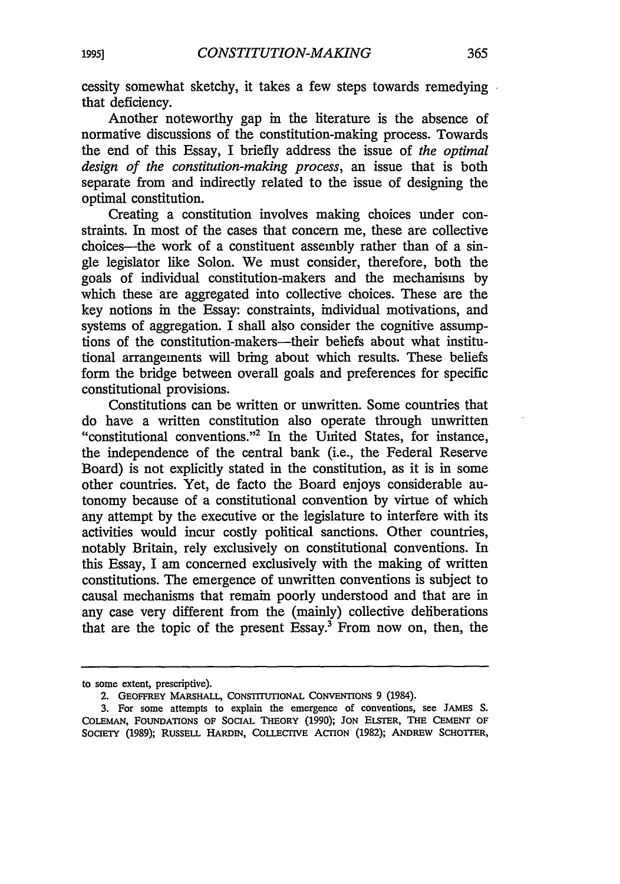cessity somewhat sketchy, it takes a few steps towards remedying that deficiency.

Another noteworthy gap in the literature is the absence of normative discussions of the constitution-making process. Towards the end of this Essay, I briefly address the issue of *the optimal design of the constitution-making process,* an issue that is both separate from and indirectly related to the issue of designing the optimal constitution.

Creating a constitution involves making choices under constraints. In most of the cases that concern me, these are collective choices-the work of a constituent assembly rather than of a single legislator like Solon. We must consider, therefore, both the goals of individual constitution-makers and the mechanisms by which these are aggregated into collective choices. These are the key notions in the Essay: constraints, individual motivations, and systems of aggregation. I shall also consider the cognitive assumptions of the constitution-makers--their beliefs about what institutional arrangements will bring about which results. These beliefs form the bridge between overall goals and preferences for specific constitutional provisions.

Constitutions can be written or unwritten. Some countries that do have a written constitution also operate through unwritten "constitutional conventions."<sup>2</sup> In the United States, for instance, the independence of the central bank (i.e., the Federal Reserve Board) is not explicitly stated in the constitution, as it is in some other countries. Yet, de facto the Board enjoys considerable autonomy because of a constitutional convention by virtue of which any attempt by the executive or the legislature to interfere with its activities would incur costly political sanctions. Other countries, notably Britain, rely exclusively on constitutional conventions. In this Essay, I am concerned exclusively with the making of written constitutions. The emergence of unwritten conventions is subject to causal mechanisms that remain poorly understood and that are in any case very different from the (mainly) collective deliberations that are the topic of the present Essay.3 From now on, then, the

to some extent, prescriptive).

<sup>2.</sup> GEOFFREY MARSHALL, CONSTITUTIONAL **CONVENTIONS** 9 (1984).

<sup>3.</sup> For some attempts to explain the emergence of conventions, see **JAMES S.** COLEMAN, **FOUNDATIONS** OF **SOCIAL THEORY** (1990); **JON ELSTER, THE CEMENT** OF SOCIETY (1989); **RUSSELL** HARDIN, COLLECTIVE ACTION **(1982);** ANDREW **SCHOTTER,**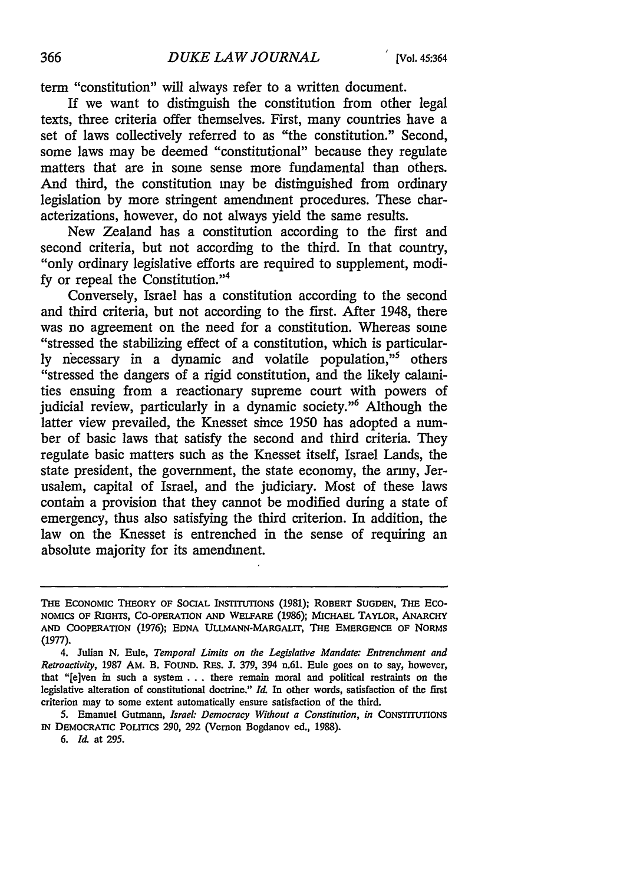term "constitution" will always refer to a written document.

If we want to distinguish the constitution from other legal texts, three criteria offer themselves. First, many countries have a set of laws collectively referred to as "the constitution." Second, some laws may be deemed "constitutional" because they regulate matters that are in some sense more fundamental than others. And third, the constitution may be distinguished from ordinary legislation by more stringent amendment procedures. These characterizations, however, do not always yield the same results.

New Zealand has a constitution according to the first and second criteria, but not according to the third. In that country, "only ordinary legislative efforts are required to supplement, modify or repeal the Constitution."4

Conversely, Israel has a constitution according to the second and third criteria, but not according to the first. After 1948, there was no agreement on the need for a constitution. Whereas some "stressed the stabilizing effect of a constitution, which is particularly necessary in a dynamic and volatile population, $^{55}$  others "stressed the dangers of a rigid constitution, and the likely calamities ensuing from a reactionary supreme court with powers of judicial review, particularly in a dynamic society."<sup>6</sup> Although the latter view prevailed, the Knesset since 1950 has adopted a number of basic laws that satisfy the second and third criteria. They regulate basic matters such as the Knesset itself, Israel Lands, the state president, the government, the state economy, the army, Jerusalem, capital of Israel, and the judiciary. Most of these laws contain a provision that they cannot be modified during a state of emergency, thus also satisfying the third criterion. In addition, the law on the Knesset is entrenched in the sense of requiring an absolute majority for its amendment.

5. Emanuel Gutmann, *Israel: Democracy Without a Constitution*, in CONSTITUTIONS **IN DEMOCRATIC POLITICS 290, 292** (Vernon Bogdanov ed., **1988).**

**6. Id.** at 295.

**THE ECONOMIC THEORY OF SOCIAL INSTITUTIONS** (1981); **ROBERT SUGDEN, THE ECO-NOMICS OF RIGHTS, CO-OPERATION AND WELFARE (1986); MICHAEL TAYLOR, ANARCHY AND COOPERATION (1976); EDNA ULLMANN-MARGALIT, THE EMERGENCE OF NORMs** (1977).

<sup>4.</sup> Julian **N.** Eule, *Temporal Limits on the Legislative Mandate: Entrenchment and Retroactivity,* **1987** AM. B. FOUND. **RES. J. 379,** 394 n.61. Eule goes on to say, however, that "[e]ven in such a system **...** there remain moral and political restraints on the legislative alteration of constitutional doctrine." **Id.** In other words, satisfaction of the first criterion may to some extent automatically ensure satisfaction of the third.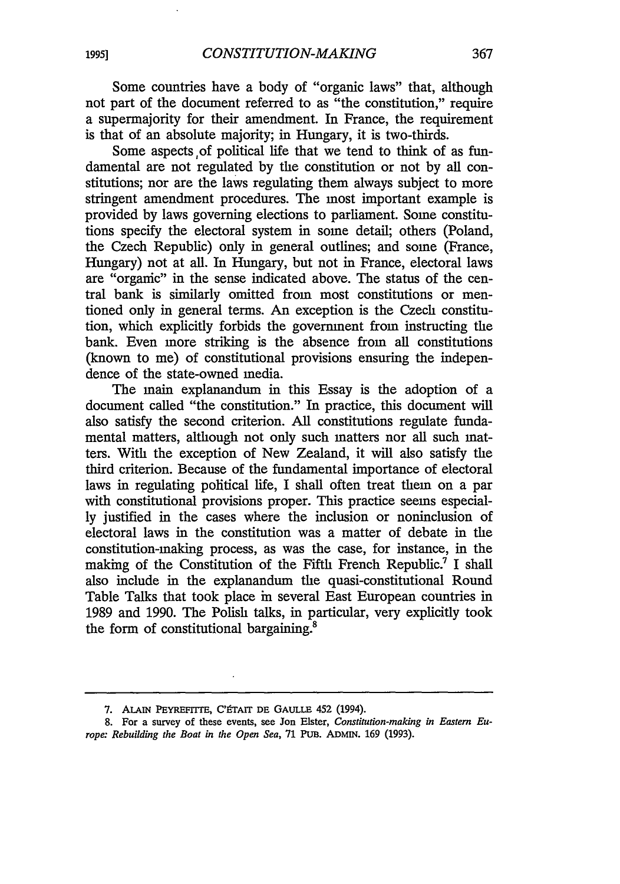Some countries have a body of "organic laws" that, although not part of the document referred to as "the constitution," require a supermajority for their amendment. In France, the requirement is that of an absolute majority; in Hungary, it is two-thirds.

Some aspects of political life that we tend to think of as fundamental are not regulated by the constitution or not by all constitutions; nor are the laws regulating them always subject to more stringent amendment procedures. The most important example is provided by laws governing elections to parliament. Some constitutions specify the electoral system in some detail; others (Poland, the Czech Republic) only in general outlines; and some (France, Hungary) not at all. In Hungary, but not in France, electoral laws are "organic" in the sense indicated above. The status of the central bank is similarly omitted from most constitutions or mentioned only in general terms. An exception is the Czech constitution, which explicitly forbids the government from instructing the bank. Even more striking is the absence from all constitutions (known to me) of constitutional provisions ensuring the independence of the state-owned media.

The main explanandum in this Essay is the adoption of a document called "the constitution." In practice, this document will also satisfy the second criterion. All constitutions regulate fundamental matters, although not only such matters nor all such matters. With the exception of New Zealand, it will also satisfy the third criterion. Because of the fundamental importance of electoral laws in regulating political life, I shall often treat them on a par with constitutional provisions proper. This practice seems especially justified in the cases where the inclusion or noninclusion of electoral laws in the constitution was a matter of debate in the constitution-making process, as was the case, for instance, in the making of the Constitution of the Fifth French Republic.<sup>7</sup> I shall also include in the explanandum the quasi-constitutional Round Table Talks that took place in several East European countries in 1989 and 1990. The Polish talks, in particular, very explicitly took the form of constitutional bargaining.<sup>8</sup>

<sup>7.</sup> ALAIN PEYREFITTE, C'ÉTAIT DE GAULLE 452 (1994).

**<sup>8.</sup>** For a survey of these events, see Jon Elster, *Constitution-making in Eastern Europe: Rebuilding the Boat in the Open Sea,* 71 PUB. **ADMIN. 169** (1993).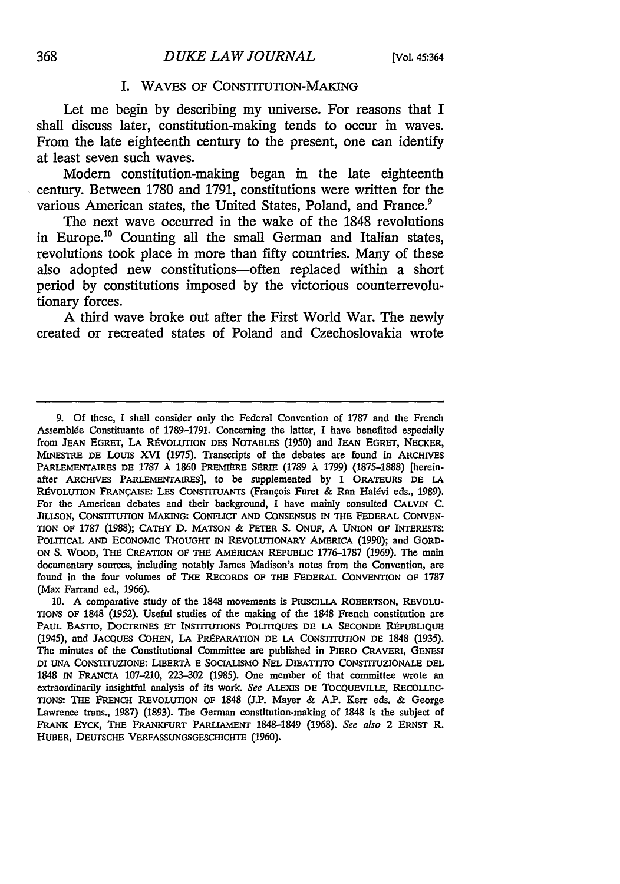#### I. WAVES OF CONSTITUTION-MAKING

Let me begin **by** describing my universe. For reasons that I shall discuss later, constitution-making tends to occur in waves. From the late eighteenth century to the present, one can identify at least seven such waves.

Modem constitution-making began in the late eighteenth century. Between **1780** and **1791,** constitutions were written for the various American states, the United States, Poland, and France.<sup>9</sup>

The next wave occurred in the wake of the **1848** revolutions in Europe.<sup>10</sup> Counting all the small German and Italian states, revolutions took place in more than **fifty** countries. Many of these also adopted new constitutions-often replaced within a short period **by** constitutions imposed **by** the victorious counterrevolutionary forces.

**A** third wave broke out after the First World War. The newly created or recreated states of Poland and Czechoslovakia wrote

**10. A** comparative study of the 1848 movements is PRISCILLA ROBERTSON, REVOLU-TIONS OF 1848 (1952). Useful studies of the making of the 1848 French constitution are PAUL BASTID, DOCTRINES ET INSTITUTIONS POLITIQUES DE LA SECONDE RÉPUBLIQUE (1945), and JACQUES COHEN, LA PRÉPARATION DE LA CONSTITUTION DE 1848 (1935). The minutes of the Constitutional Committee are published in PIERO CRAVERI, GENESI DI **UNA** CONSTITUZIONE: LIBERTA E SOCIALISMO NEL DIBATITO CONSTITUZIONALE DEL 1848 IN FRANCiA 107-210, 223-302 (1985). One member of that committee wrote an extraordinarily insightful analysis of its work. See ALEXIS **DE** TOCQUEVILLE, RECOLLEC-TIONS: THE FRENCH REVOLUTION OF 1848 (J.P. Mayer & A.P. Kerr eds. & George Lawrence trans., 1987) (1893). The German constitution-making of 1848 is the subject of FRANK EYCK, THE FRANKFURT PARLIAMENT 1848-1849 (1968). See also 2 ERNST R. HUBER, DEUTSCHE VERFASSUNGSGESCHICHTE (1960).

<sup>9.</sup> Of these, I shall consider only the Federal Convention of 1787 and the French Assemblée Constituante of 1789–1791. Concerning the latter, I have benefited especially from JEAN EGRET, LA RiEVOLUTION **DES NOTABLES** (1950) and JEAN EGRET, NECKER, MINESTRE DE LOUIS XVI (1975). Transcripts of the debates are found in ARCHIVES PARLEMENTAIRES DE 1787 A 1860 PREMIkRE StRIE (1789 **A** 1799) (1875-1888) [hereinafter ARCHIVES PARLEMENTAIRES], to be supplemented by **1** ORATEURS DE **LA** REVOLUTION FRANCAISE: LES CONSTITUANTS (Frangois Furet & Ran Hal6vi eds., 1989). For the American debates and their background, I have mainly consulted CALVIN C. JILLSON, CONSTITUTION MAKING: CONFLICT AND **CONSENSUS** IN THE FEDERAL CONVEN-TION OF 1787 (1988); CATHY **D.** MATSON **&** PETER *S.* ONUF, A UNION OF INTERESTS: POLITICAL AND ECONOMIC THOUGHT IN REVOLUTIONARY AMERICA (1990); and GORD-ON *S.* WOOD, THE CREATION OF THE AMERICAN REPUBLIC 1776-1787 (1969). The main documentary sources, including notably James Madison's notes from the Convention, are found in the four volumes of THE RECORDS OF THE FEDERAL CONVENTION OF 1787 (Max Farrand ed., 1966).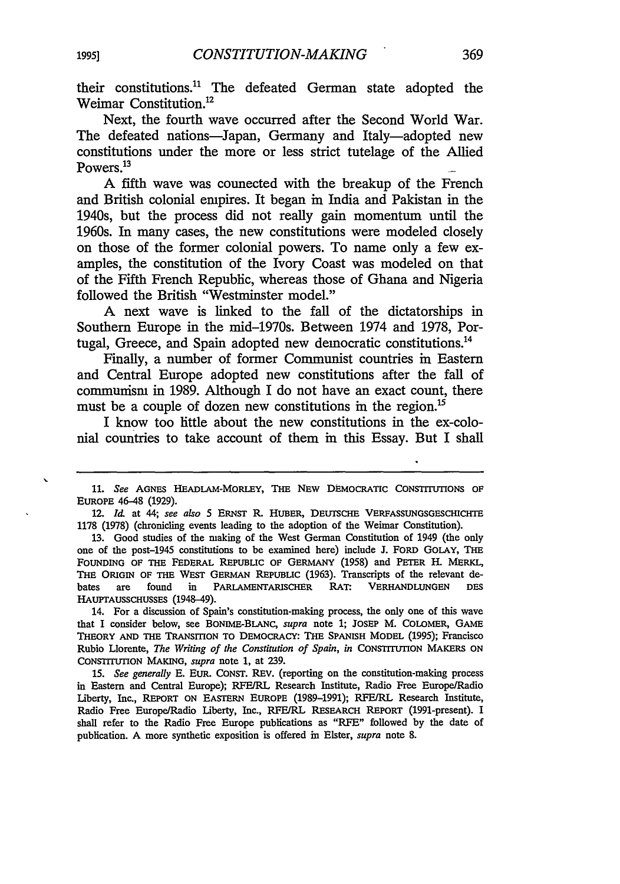their constitutions." The defeated German state adopted the Weimar Constitution.

Next, the fourth wave occurred after the Second World War. The defeated nations-Japan, Germany and Italy-adopted new constitutions under the more or less strict tutelage of the Allied Powers.<sup>13</sup>

A fifth wave was connected with the breakup of the French and British colonial empires. It began in India and Pakistan in the 1940s, but the process did not really gain momentum until the 1960s. In many cases, the new constitutions were modeled closely on those of the former colonial powers. To name only a few examples, the constitution of the Ivory Coast was modeled on that of the Fifth French Republic, whereas those of Ghana and Nigeria followed the British "Westminster model."

A next wave is linked to the fall of the dictatorships in Southern Europe in the mid-1970s. Between 1974 and 1978, Portugal, Greece, and Spain adopted new democratic constitutions.<sup>14</sup>

Finally, a number of former Communist countries in Eastern and Central Europe adopted new constitutions after the fall of communism in 1989. Although I do not have an exact count, there must be a couple of dozen new constitutions in the region.<sup>15</sup>

I know too little about the new constitutions in the ex-colonial countries to take account of them in this Essay. But I shall

14. For a discussion of Spain's constitution-making process, the only one of this wave that I consider below, see BONimE-BLANC, *supra* note **1;** JOSEP M. COLOMER, GAME THEORY AND THE TRANSITION TO DEMOCRACY: THE SPANISH MODEL (1995); Francisco Rubio Llorente, *The Writing of the Constitution of Spain*, in CONSTITUTION MAKERS ON CONSTrITUTION MAKING, *supra* note 1, at 239.

*15. See generally* E. **EUR.** CONST. REV. (reporting on the constitution-making process in Eastern and Central Europe); RFE/RL Research Institute, Radio Free Europe/Radio Liberty, Inc., REPORT ON EASTERN EUROPE (1989-1991); RFE/RL Research Institute, Radio Free Europe/Radio Liberty, Inc., RFE/RL RESEARCH REPORT (1991-present). I shall refer to the Radio Free Europe publications as "RFE" followed by the date of publication. A more synthetic exposition is offered in Elster, *supra* note 8.

<sup>11.</sup> See AGNES HEADLAM-MORLEY, THE NEW DEMOCRATIC CONSTITUTIONS OF EUROPE 46-48 (1929).

<sup>12.</sup> *1d.* at 44; see also *5* ERNST R. HUBER, DEUTSCHE **VERFASSUNGSGESCHICHTE 1178** (1978) (chronicling events leading to the adoption of the Weimar Constitution).

**<sup>13.</sup>** Good studies of the making of the West German Constitution of 1949 (the only one of the post-1945 constitutions to be examined here) include **J.** FORD GOLAY, THE FOUNDING OF THE FEDERAL REPUBLIC OF GERMANY (1958) and PETER H. MERKL, THE ORIGIN OF THE WEST GERMAN REPUBLIC **(1963).** Transcripts of the relevant debates are found in PARLAMENTARISCHER RAT: **VERHANDLUNGEN DES HAUPTAUSSCHUSSES** (1948-49).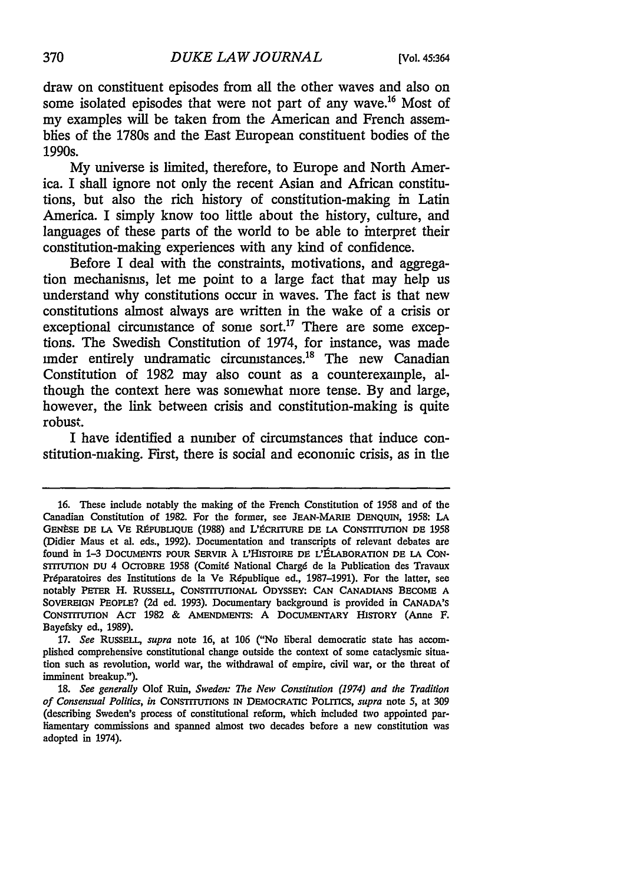draw on constituent episodes from all the other waves and also on some isolated episodes that were not part of any wave.16 Most of my examples will be taken from the American and French assemblies of the 1780s and the East European constituent bodies of the 1990s.

My universe is limited, therefore, to Europe and North America. I shall ignore not only the recent Asian and African constitutions, but also the rich history of constitution-making in Latin America. I simply know too little about the history, culture, and languages of these parts of the world to be able to interpret their constitution-making experiences with any kind of confidence.

Before I deal with the constraints, motivations, and aggregation mechanisms, let me point to a large fact that may help us understand why constitutions occur in waves. The fact is that new constitutions almost always are written in the wake of a crisis or exceptional circumstance of some sort.<sup>17</sup> There are some exceptions. The Swedish Constitution of 1974, for instance, was made under entirely undramatic circumstances.18 The new Canadian Constitution of 1982 may also count as a counterexample, although the context here was somewhat more tense. By and large, however, the link between crisis and constitution-making is quite robust.

I have identified a number of circumstances that induce constitution-making. First, there is social and economic crisis, as in the

**<sup>16.</sup>** These include notably the making of the French Constitution of **1958** and of the Canadian Constitution of 1982. For the former, see **JEAN-MARIE DENQUIN,** 1958: **LA** GENÈSE DE LA VE RÉPUBLIQUE (1988) and L'ÉCRITURE DE LA CONSTITUTION DE 1958 (Didier Maus et al. eds., **1992).** Documentation and transcripts of relevant debates are found in 1-3 DOCUMENTS POUR SERVIR À L'HISTOIRE DE L'ÉLABORATION DE LA CON-STITUTION DU 4 OCTOBRE 1958 (Comité National Chargé de la Publication des Travaux Préparatoires des Institutions de la Ve République ed., 1987-1991). For the latter, see notably **PETER** H. **RUSSELL, CONSTITUTIONAL** ODYSSEY: **CAN CANADIANS BECOME A SOVEREIGN** PEOPLE? (2d ed. 1993). Documentary background is provided in CANADA'S CONSTrrUTON **Acr 1982 &** AMENDMENTS: A DOCUMENTARY HISTORY (Anne F. Bayefsky ed., 1989).

**<sup>17.</sup>** *See* RUSSELL, *supra* note 16, at 106 ("No liberal democratic state has accomplished comprehensive constitutional change outside the context of some cataclysmic situation such as revolution, world war, the withdrawal of empire, civil war, or the threat of imminent breakup.").

**<sup>18.</sup>** *See generally* Olof Ruin, *Sweden: The New Constitution (1974) and the Tradition*  $of$  Consensual Politics, in CONSTITUTIONS IN DEMOCRATIC POLITICS, supra note 5, at 309 (describing Sweden's process of constitutional reform, which included two appointed parliamentary commissions and spanned almost two decades before a new constitution was adopted in 1974).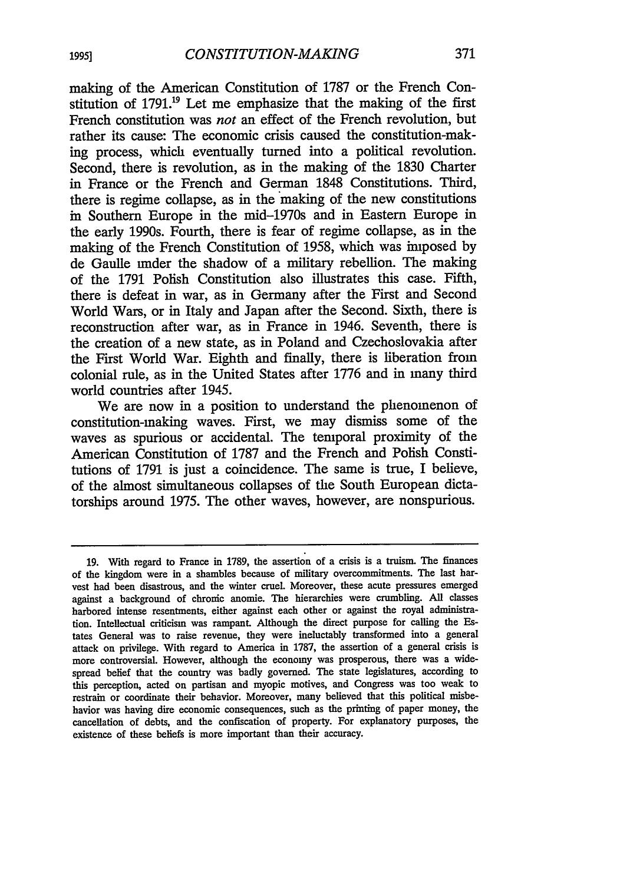making of the American Constitution of 1787 or the French Constitution of 1791.<sup>19</sup> Let me emphasize that the making of the first French constitution was *not* an effect of the French revolution, but rather its cause: The economic crisis caused the constitution-making process, which eventually turned into a political revolution. Second, there is revolution, as in the making of the 1830 Charter in France or the French and German 1848 Constitutions. Third, there is regime collapse, as in the making of the new constitutions in Southern Europe in the mid-1970s and in Eastern Europe in the early 1990s. Fourth, there is fear of regime collapse, as in the making of the French Constitution of 1958, which was imposed by de Gaulle under the shadow of a military rebellion. The making of the 1791 Polish Constitution also illustrates this case. Fifth, there is defeat in war, as in Germany after the First and Second World Wars, or in Italy and Japan after the Second. Sixth, there is reconstruction after war, as in France in 1946. Seventh, there is the creation of a new state, as in Poland and Czechoslovakia after the First World War. Eighth and finally, there is liberation from colonial rule, as in the United States after 1776 and in many third world countries after 1945.

We are now in a position to understand the phenomenon of constitution-making waves. First, we may dismiss some of the waves as spurious or accidental. The temporal proximity of the American Constitution of 1787 and the French and Polish Constitutions of 1791 is just a coincidence. The same is true, I believe, of the almost simultaneous collapses of the South European dictatorships around 1975. The other waves, however, are nonspurious.

**<sup>19.</sup>** With regard to France in 1789, the assertion of a crisis is a truism. The finances of the kingdom were in a shambles because of military overcommitments. The last harvest had been disastrous, and the winter cruel. Moreover, these acute pressures emerged against a background of chronic anomie. The hierarchies were crumbling. All classes harbored intense resentments, either against each other or against the royal administration. Intellectual criticism was rampant. Although the direct purpose for calling the Estates General was to raise revenue, they were ineluctably transformed into a general attack on privilege. With regard to America in 1787, the assertion of a general crisis is more controversial. However, although the economy was prosperous, there was a widespread belief that the country was badly governed. The state legislatures, according to this perception, acted on partisan and myopic motives, and Congress was too weak to restrain or coordinate their behavior. Moreover, many believed that this political misbehavior was having dire economic consequences, such as the printing of paper money, the cancellation of debts, and the confiscation of property. For explanatory purposes, the existence of these beliefs is more important than their accuracy.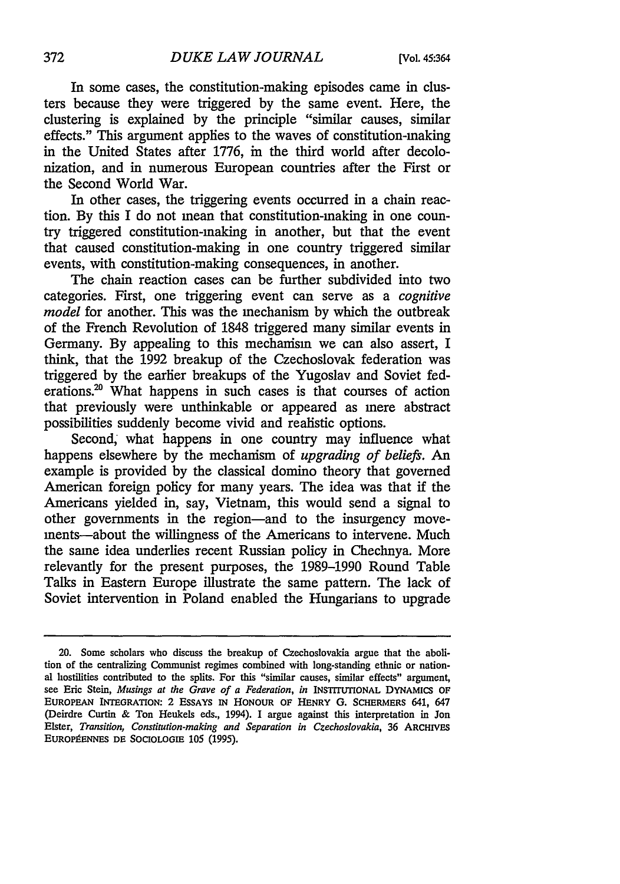In some cases, the constitution-making episodes came in clusters because they were triggered by the same event. Here, the clustering is explained by the principle "similar causes, similar effects." This argument applies to the waves of constitution-making in the United States after 1776, in the third world after decolonization, and in numerous European countries after the First or the Second World War.

In other cases, the triggering events occurred in a chain reaction. By this I do not mean that constitution-making in one country triggered constitution-making in another, but that the event that caused constitution-making in one country triggered similar events, with constitution-making consequences, in another.

The chain reaction cases can be further subdivided into two categories. First, one triggering event can serve as a *cognitive model* for another. This was the mechanism by which the outbreak of the French Revolution of 1848 triggered many similar events in Germany. By appealing to this mechanism we can also assert, I think, that the 1992 breakup of the Czechoslovak federation was triggered by the earlier breakups of the Yugoslav and Soviet federations.<sup>20</sup> What happens in such cases is that courses of action that previously were unthinkable or appeared as mere abstract possibilities suddenly become vivid and realistic options.

Second, what happens in one country may influence what happens elsewhere by the mechanism of *upgrading of beliefs. An* example is provided by the classical domino theory that governed American foreign policy for many years. The idea was that if the Americans yielded in, say, Vietnam, this would send a signal to other governments in the region-and to the insurgency movements-about the willingness of the Americans to intervene. Much the same idea underlies recent Russian policy in Chechnya. More relevantly for the present purposes, the 1989-1990 Round Table Talks in Eastern Europe illustrate the same pattern. The lack of Soviet intervention in Poland enabled the Hungarians to upgrade

<sup>20.</sup> Some scholars who discuss the breakup of Czechoslovakia argue that the abolition of the centralizing Communist regimes combined with long-standing ethnic or national hostilities contributed to the splits. For this "similar causes, similar effects" argument, see Eric Stein, *Musings at the Grave of a Federation, in* INSTITUTIONAL DYNAMICS OF **EUROPEAN INTEGRATION:** 2 ESSAYS **IN** HONOUR OF HENRY **G.** SCHERMERS 641, 647 (Deirdre Curtin & Ton Heukels eds., 1994). **I** argue against this interpretation in Jon Elster, *Transition, Constitution-making and Separation in Czechoslovakia,* **36** ARCHIVES EUROPÉENNES DE SOCIOLOGIE 105 (1995).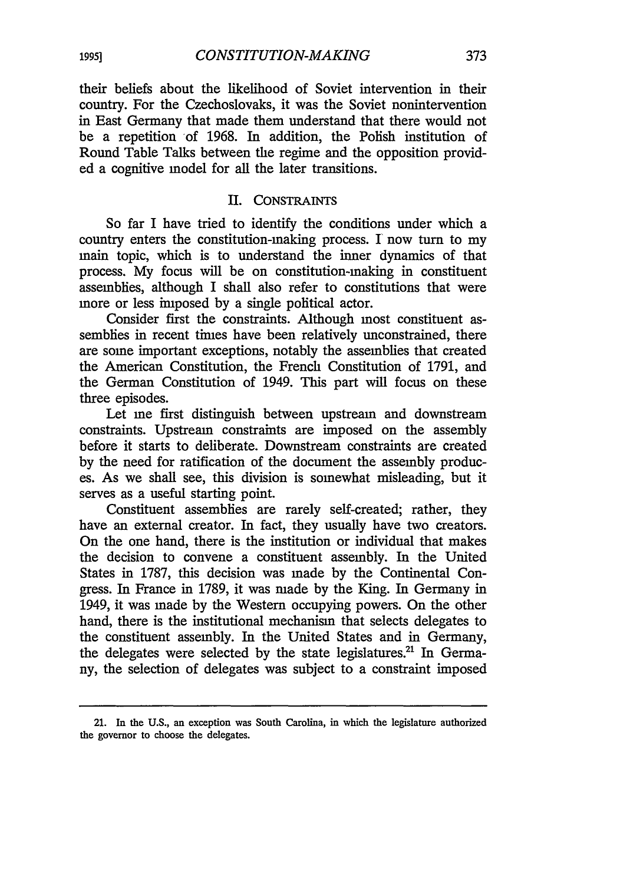their beliefs about the likelihood of Soviet intervention in their country. For the Czechoslovaks, it was the Soviet nonintervention in East Germany that made them understand that there would not be a repetition of 1968. In addition, the Polish institution of Round Table Talks between the regime and the opposition provided a cognitive model for all the later transitions.

## II. CONSTRAINTS

So far I have tried to identify the conditions under which a country enters the constitution-making process. I now turn to my main topic, which is to understand the inner dynamics of that process. My focus will be on constitution-making in constituent assemblies, although I shall also refer to constitutions that were more or less imposed by a single political actor.

Consider first the constraints. Although most constituent assemblies in recent times have been relatively unconstrained, there are some important exceptions, notably the assemblies that created the American Constitution, the French Constitution of 1791, and the German Constitution of 1949. This part will focus on these three episodes.

Let me first distinguish between upstream and downstream constraints. Upstream constraints are imposed on the assembly before it starts to deliberate. Downstream constraints are created by the need for ratification of the document the assembly produces. As we shall see, this division is somewhat misleading, but it serves as a useful starting point.

Constituent assemblies are rarely self-created; rather, they have an external creator. In fact, they usually have two creators. On the one hand, there is the institution or individual that makes the decision to convene a constituent assembly. In the United States in 1787, this decision was made by the Continental Congress. In France in 1789, it was made by the King. In Germany in 1949, it was made by the Western occupying powers. On the other hand, there is the institutional mechanism that selects delegates to the constituent assembly. In the United States and in Germany, the delegates were selected by the state legislatures.<sup>21</sup> In Germany, the selection of delegates was subject to a constraint imposed

<sup>21.</sup> In the **U.S.,** an exception was South Carolina, in which the legislature authorized the governor to choose the delegates.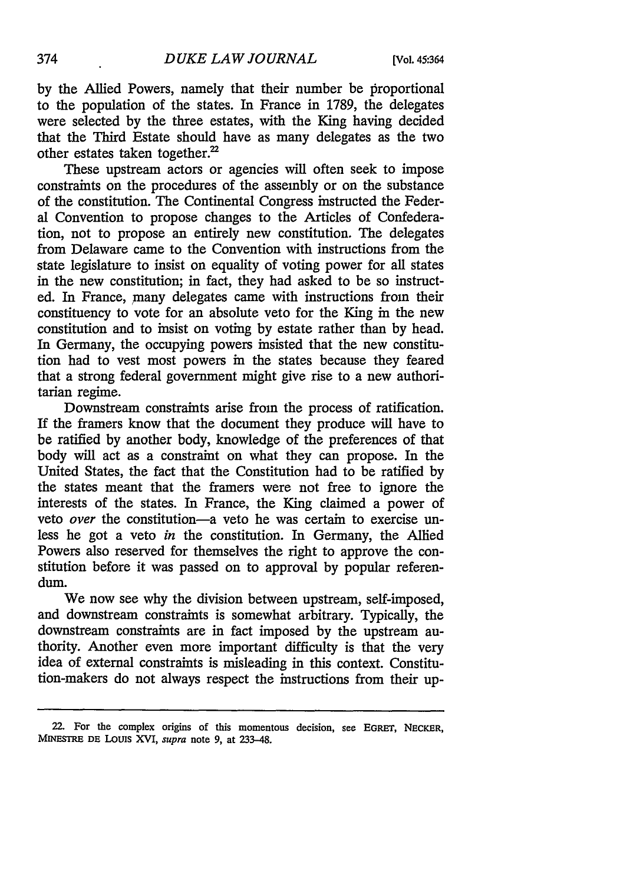by the Allied Powers, namely that their number be proportional to the population of the states. In France in 1789, the delegates were selected by the three estates, with the King having decided that the Third Estate should have as many delegates as the two other estates taken together.<sup>22</sup>

These upstream actors or agencies will often seek to impose constraints on the procedures of the assembly or on the substance of the constitution. The Continental Congress instructed the Federal Convention to propose changes to the Articles of Confederation, not to propose an entirely new constitution. The delegates from Delaware came to the Convention with instructions from the state legislature to insist on equality of voting power for all states in the new constitution; in fact, they had asked to be so instructed. In France, many delegates came with instructions from their constituency to vote for an absolute veto for the King in the new constitution and to insist on voting by estate rather than by head. In Germany, the occupying powers insisted that the new constitution had to vest most powers in the states because they feared that a strong federal government might give rise to a new authoritarian regime.

Downstream constraints arise from the process of ratification. If the framers know that the document they produce will have to be ratified by another body, knowledge of the preferences of that body will act as a constraint on what they can propose. In the United States, the fact that the Constitution had to be ratified by the states meant that the framers were not free to ignore the interests of the states. In France, the King claimed a power of veto *over* the constitution-a veto he was certain to exercise unless he got a veto *in* the constitution. In Germany, the Allied Powers also reserved for themselves the right to approve the constitution before it was passed on to approval by popular referendum.

We now see why the division between upstream, self-imposed, and downstream constraints is somewhat arbitrary. Typically, the downstream constraints are in fact imposed by the upstream authority. Another even more important difficulty is that the very idea of external constraints is misleading in this context. Constitution-makers do not always respect the instructions from their up-

<sup>22.</sup> For the complex origins of this momentous decision, see EGRET, NECKER, MINESTRE DE LOUIS XVI, *supra* note 9, at 233-48.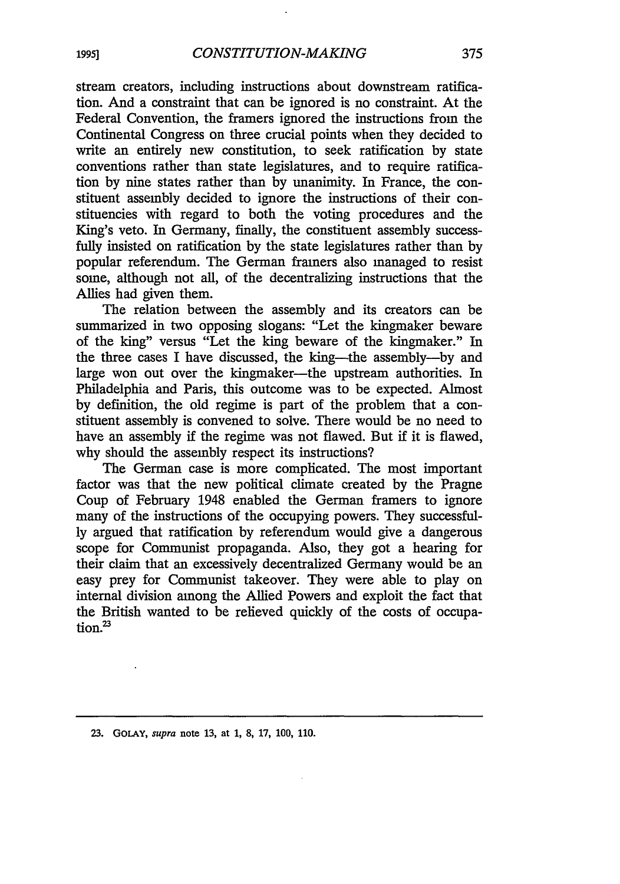stream creators, including instructions about downstream ratification. And a constraint that can be ignored is no constraint. At the Federal Convention, the framers ignored the instructions from the Continental Congress on three crucial points when they decided to write an entirely new constitution, to seek ratification by state conventions rather than state legislatures, and to require ratification by nine states rather than by unanimity. In France, the constituent assembly decided to ignore the instructions of their constituencies with regard to both the voting procedures and the King's veto. In Germany, finally, the constituent assembly successfully insisted on ratification by the state legislatures rather than by popular referendum. The German framers also managed to resist some, although not all, of the decentralizing instructions that the Allies had given them.

The relation between the assembly and its creators can be summarized in two opposing slogans: "Let the kingmaker beware of the king" versus "Let the king beware of the kingmaker." In the three cases I have discussed, the king--the assembly---by and large won out over the kingmaker-the upstream authorities. In Philadelphia and Paris, this outcome was to be expected. Almost by definition, the old regime is part of the problem that a constituent assembly is convened to solve. There would be no need to have an assembly if the regime was not flawed. But if it is flawed, why should the assembly respect its instructions?

The German case is more complicated. The most important factor was that the new political climate created by the Prague Coup of February 1948 enabled the German framers to ignore many of the instructions of the occupying powers. They successfully argued that ratification by referendum would give a dangerous scope for Communist propaganda. Also, they got a hearing for their claim that an excessively decentralized Germany would be an easy prey for Communist takeover. They were able to play on internal division among the Allied Powers and exploit the fact that the British wanted to be relieved quickly of the costs of occupation.

**23.** GOLAY, *supra* note 13, at **1, 8, 17,** 100, 110.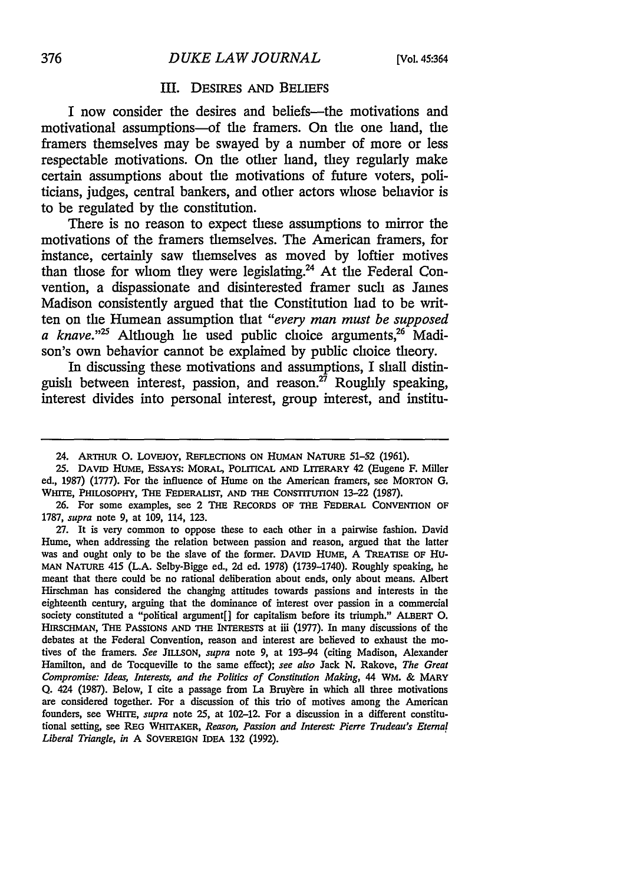## III. **DESIRES AND BELIEFS**

I now consider the desires and beliefs-the motivations and motivational assumptions-of the framers. On the one hand, the framers themselves may be swayed **by** a number of more or less respectable motivations. On the other hand, they regularly make certain assumptions about the motivations of future voters, politicians, judges, central bankers, and other actors whose behavior is to be regulated **by** the constitution.

There is no reason to expect these assumptions to mirror the motivations of the framers themselves. The American framers, for instance, certainly saw themselves as moved **by** loftier motives than those for whom they were legislating.<sup>24</sup> At the Federal Convention, a dispassionate and disinterested framer such as James Madison consistently argued that the Constitution had to be written on the Humean assumption that *"every man must be supposed a knave.*"<sup>25</sup> Although he used public choice arguments,<sup>26</sup> Madison's own behavior cannot be explained **by** public choice theory.

In discussing these motivations and assumptions, I shall distinguish between interest, passion, and reason.<sup>27</sup> Roughly speaking, interest divides into personal interest, group interest, and institu-

<sup>24.</sup> ARTHUR **0.** LOVEJOY, REFLECTIONS **ON** HUMAN NATURE 51-52 **(1961).**

**<sup>25.</sup> DAVID** HUmE, **ESSAYS:** MORAL, **POLITICAL AND** LITERARY 42 (Eugene F. Miller ed., 1987) (1777). For the influence of Hume on the American framers, see MORTON **G.** WHITE, PHILOSOPHY, THE FEDERALIST, AND **THE** CONSTITUTION 13-22 (1987).

<sup>26.</sup> For some examples, see 2 **THE** RECORDS OF THE FEDERAL CONVENTION OF 1787, *supra* note 9, at 109, 114, 123.

<sup>27.</sup> It is very common to oppose these to each other in a pairwise fashion. David Hume, when addressing the relation between passion and reason, argued that the latter was and ought only to be the slave of the former. DAVID HUME, A TREATISE OF HU-MAN NATURE 415 **(L.A.** Selby-Bigge ed., **2d** ed. 1978) (1739-1740). Roughly speaking, he meant that there could be no rational deliberation about ends, only about means. Albert Hirschman has considered the changing attitudes towards passions and interests in the eighteenth century, arguing that the dominance of interest over passion in a commercial society constituted a "political argument[] for capitalism before its triumph." ALBERT **0. HIRSCHMAN,** THE PASSIONS **AND** THE INTERESTS at iii (1977). In many discussions of the debates at the Federal Convention, reason and interest are believed to exhaust the motives of the framers. *See* JILLSON, *supra* note 9, at 193-94 (citing Madison, Alexander Hamilton, and de Tocqueville to the same effect); *see also* Jack N. Rakove, *The Great Compromise: Ideas, Interests, and the Politics of Constitution Making,* 44 WM. & MARY Q. 424 (1987). Below, I cite a passage from La Bruyère in which all three motivations are considered together. For a discussion of this trio of motives among the American founders, see WHITE, *supra* note 25, at 102-12. For a discussion in a different constitutional setting, see REG WHITAKER, *Reason, Passion and Interest: Pierre Trudeau's Eternal Liberal Triangle, in* **A SOVEREIGN** IDEA **132** (1992).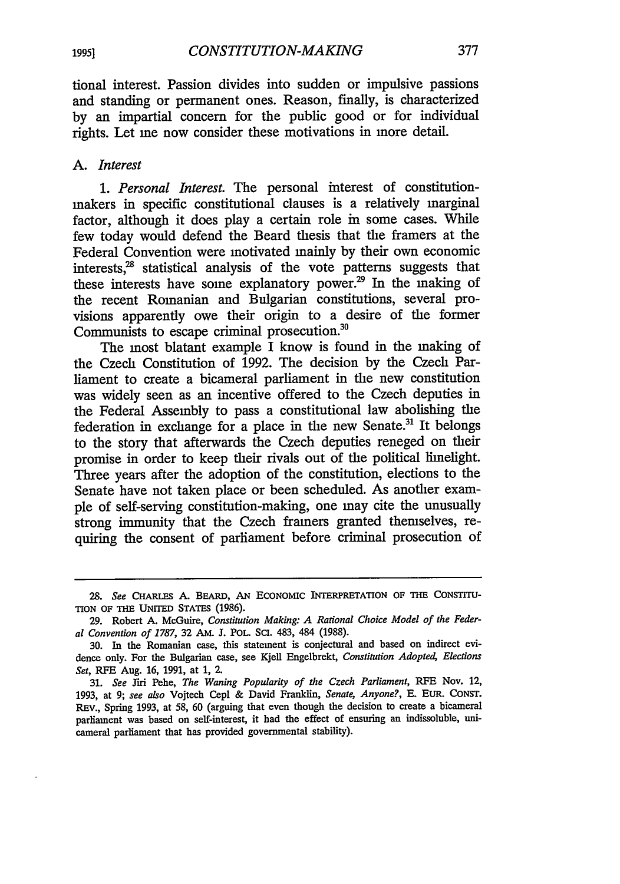tional interest. Passion divides into sudden or impulsive passions and standing or permanent ones. Reason, finally, is characterized by an impartial concern for the public good or for individual rights. Let me now consider these motivations in more detail.

#### *A. Interest*

*1. Personal Interest.* The personal interest of constitutionmakers in specific constitutional clauses is a relatively marginal factor, although it does play a certain role in some cases. While few today would defend the Beard thesis that the framers at the Federal Convention were motivated mainly by their own economic interests, $^{28}$  statistical analysis of the vote patterns suggests that these interests have some explanatory power.<sup>29</sup> In the making of the recent Romanian and Bulgarian constitutions, several provisions apparently owe their origin to a desire of the former Communists to escape criminal prosecution.<sup>30</sup>

The most blatant example I know is found in the making of the Czech Constitution of 1992. The decision by the Czech Parliament to create a bicameral parliament in the new constitution was widely seen as an incentive offered to the Czech deputies in the Federal Assembly to pass a constitutional law abolishing the federation in exchange for a place in the new Senate. $31$  It belongs to the story that afterwards the Czech deputies reneged on their promise in order to keep their rivals out of the political limelight. Three years after the adoption of the constitution, elections to the Senate have not taken place or been scheduled. As another example of self-serving constitution-making, one may cite the unusually strong immunity that the Czech framers granted themselves, requiring the consent of parliament before criminal prosecution of

**<sup>28.</sup>** *See* CHARLES A. BEARD, AN ECONOMIC INTERPRETATION OF THE CONSTITU-TION OF THE UNITED STATES (1986).

<sup>29.</sup> Robert A. McGuire, *Constitution Making: A Rational Choice Model of the Federal Convention of 1787,* 32 AM. **J.** POL SCI. 483, 484 (1988).

<sup>30.</sup> In the Romanian case, this statement is conjectural and based on indirect evidence only. For the Bulgarian case, see Kjell Engelbrekt, *Constitution Adopted, Elections Set,* RFE Aug. 16, 1991, at 1, 2.

<sup>31.</sup> *See* Jiri Pehe, *The Waning Popularity of the Czech Parliament,* RFE Nov. 12, 1993, at 9; *see also* Vojtech Cepl & David Franklin, *Senate, Anyone?,* E. EUR. **CONST.** REV., Spring 1993, at 58, 60 (arguing that even though the decision to create a bicameral parliament was based on self-interest, it had the effect of ensuring an indissoluble, unicameral parliament that has provided governmental stability).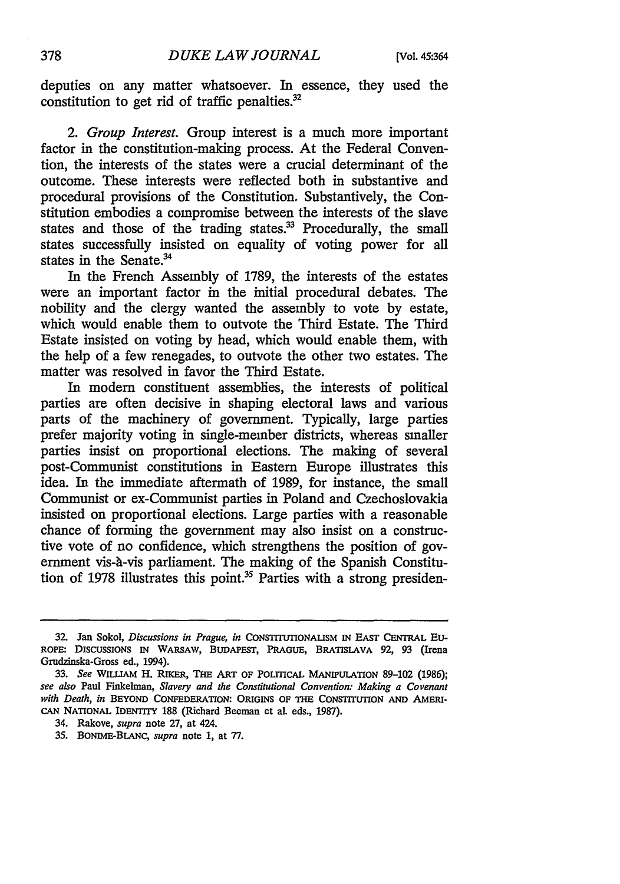deputies on any matter whatsoever. In essence, they used the constitution to get rid of traffic penalties. $32$ 

*2. Group Interest.* Group interest is a much more important factor in the constitution-making process. At the Federal Convention, the interests of the states were a crucial determinant of the outcome. These interests were reflected both in substantive and procedural provisions of the Constitution. Substantively, the Constitution embodies a compromise between the interests of the slave states and those of the trading states.<sup>33</sup> Procedurally, the small states successfully insisted on equality of voting power for all states in the Senate.<sup>34</sup>

In the French Assembly of 1789, the interests of the estates were an important factor in the initial procedural debates. The nobility and the clergy wanted the assembly to vote by estate, which would enable them to outvote the Third Estate. The Third Estate insisted on voting by head, which would enable them, with the help of a few renegades, to outvote the other two estates. The matter was resolved in favor the Third Estate.

In modem constituent assemblies, the interests of political parties are often decisive in shaping electoral laws and various parts of the machinery of government. Typically, large parties prefer majority voting in single-member districts, whereas smaller parties insist on proportional elections. The making of several post-Communist constitutions in Eastern Europe illustrates this idea. In the immediate aftermath of 1989, for instance, the small Communist or ex-Communist parties in Poland and Czechoslovakia insisted on proportional elections. Large parties with a reasonable chance of forming the government may also insist on a constructive vote of no confidence, which strengthens the position of government vis-à-vis parliament. The making of the Spanish Constitution of 1978 illustrates this point.<sup>35</sup> Parties with a strong presiden-

**<sup>32.</sup>** Jan Sokol, *Discussions in Prague, in* **CONSTITUTIONALISM** IN **EAST CENTRAL EU-ROPE: DISCUSSIONS IN** WARSAW, **BUDAPEST, PRAGUE, BRATISLAVA 92, 93** (Irena Grudzinska-Gross ed., 1994).

**<sup>33.</sup>** *See* WiLLnAM H. RIKER, **THE** ART OF **POLITICAL** MANIPULATION 89-102 (1986); *see also* Paul Finkelman, *Slavery and the Constitutional Convention: Making a Covenant* with Death, in BEYOND CONFEDERATION: ORIGINS OF THE CONSTITUTION AND AMERI-**CAN NATIONAL IDENTITY 188** (Richard Beeman et **al.** eds., **1987).**

<sup>34.</sup> Rakove, *supra* note **27,** at **424.**

**<sup>35.</sup> BONIME-BLANC,** *supra* note **1,** at **77.**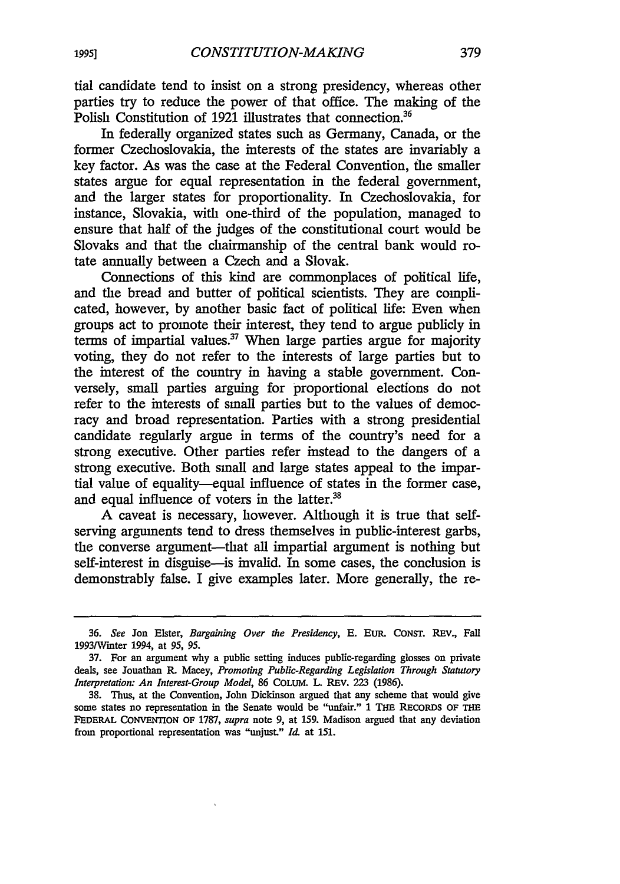tial candidate tend to insist on a strong presidency, whereas other parties try to reduce the power of that office. The making of the Polish Constitution of 1921 illustrates that connection.<sup>36</sup>

In federally organized states such as Germany, Canada, or the former Czechoslovakia, the interests of the states are invariably a key factor. As was the case at the Federal Convention, the smaller states argue for equal representation in the federal government, and the larger states for proportionality. In Czechoslovakia, for instance, Slovakia, with one-third of the population, managed to ensure that half of the judges of the constitutional court would be Slovaks and that the chairmanship of the central bank would rotate annually between a Czech and a Slovak.

Connections of this kind are commonplaces of political life, and the bread and butter of political scientists. They are complicated, however, by another basic fact of political life: Even when groups act to promote their interest, they tend to argue publicly in terms of impartial values.<sup>37</sup> When large parties argue for majority voting, they do not refer to the interests of large parties but to the interest of the country in having a stable government. Conversely, small parties arguing for proportional elections do not refer to the interests of small parties but to the values of democracy and broad representation. Parties with a strong presidential candidate regularly argue in terms of the country's need for a strong executive. Other parties refer instead to the dangers of a strong executive. Both small and large states appeal to the impartial value of equality-equal influence of states in the former case, and equal influence of voters in the latter.<sup>38</sup>

A caveat is necessary, however. Although it is true that selfserving arguments tend to dress themselves in public-interest garbs, the converse argument-that all impartial argument is nothing but self-interest in disguise—is invalid. In some cases, the conclusion is demonstrably false. I give examples later. More generally, the re-

<sup>36.</sup> *See* Jon Elster, *Bargaining Over the Presidency,* E. EUR. **CONST.** REV., Fall 1993/Winter 1994, at *95,* 95.

<sup>37.</sup> For an argument why a public setting induces public-regarding glosses on private deals, see Jonathan **R.** Macey, *Promoting Public-Regarding Legislation Through Statutory Interpretation: An Interest-Group Model,* 86 COLUM. L. REV. 223 (1986).

**<sup>38.</sup>** Thus, at the Convention, John Dickinson argued that any scheme that would give some states no representation in the Senate would be "unfair." 1 THE **REcORDS OF THE FEDERAL CONVENTION OF 1787,** *supra* note 9, at 159. Madison argued that any deviation from proportional representation was "unjust." *Id.* at **151.**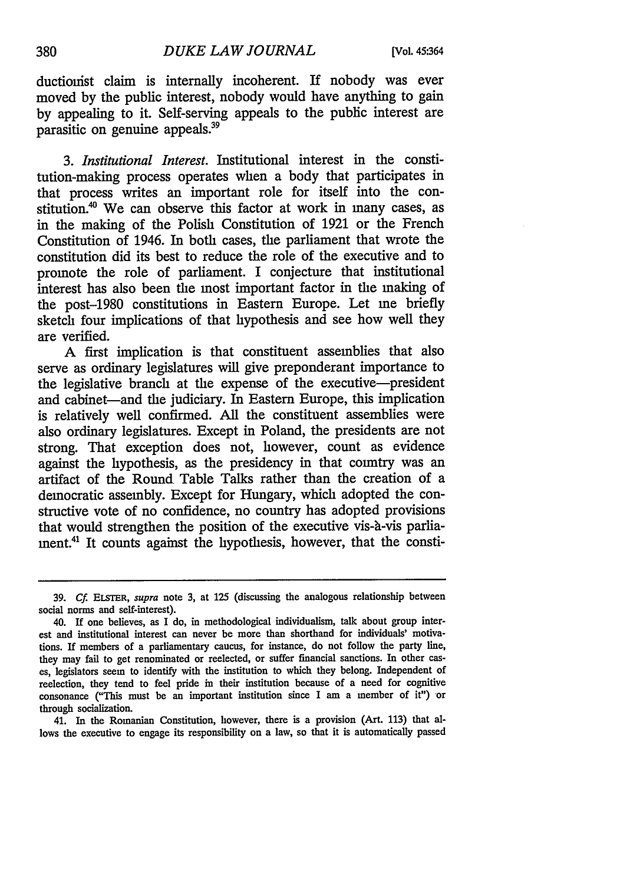ductionist claim is internally incoherent. If nobody was ever moved by the public interest, nobody would have anything to gain by appealing to it. Self-serving appeals to the public interest are parasitic on genuine appeals.39

*3. Institutional Interest.* Institutional interest in the constitution-making process operates when a body that participates in that process writes an important role for itself into the constitution.<sup>40</sup> We can observe this factor at work in many cases, as in the making of the Polish Constitution of 1921 or the French Constitution of 1946. In both cases, the parliament that wrote the constitution did its best to reduce the role of the executive and to promote the role of parliament. I conjecture that institutional interest has also been the most important factor in the making of the post-1980 constitutions in Eastern Europe. Let me briefly sketch four implications of that hypothesis and see how well they are verified.

A first implication is that constituent assemblies that also serve as ordinary legislatures will give preponderant importance to the legislative branch at the expense of the executive-president and cabinet—and the judiciary. In Eastern Europe, this implication is relatively well confirmed. All the constituent assemblies were also ordinary legislatures. Except in Poland, the presidents are not strong. That exception does not, however, count as evidence against the hypothesis, as the presidency in that country was an artifact of the Round Table Talks rather than the creation of a democratic assembly. Except for Hungary, which adopted the constructive vote of no confidence, no country has adopted provisions that would strengthen the position of the executive vis-à-vis parliament.<sup>41</sup> It counts against the hypothesis, however, that the consti-

41. In the Romanian Constitution, however, there is a provision (Art. 113) that allows the executive to engage its responsibility on a law, so that it is automatically passed

**<sup>39.</sup> Cf** ELSTER, *supra* note 3, at 125 (discussing the analogous relationship between social norms and self-interest).

<sup>40.</sup> If one believes, as I do, in methodological individualism, talk about group interest and institutional interest can never be more than shorthand for individuals' motivations. If members of a parliamentary caucus, for instance, do not follow the party line, they may fail to get renominated or reelected, or suffer financial sanctions. In other cases, legislators seem to identify with the institution to which they belong. Independent of reelection, they tend to feel pride in their institution because **of** a need for cognitive consonance ("This must be an important institution since I am a member of it") or through socialization.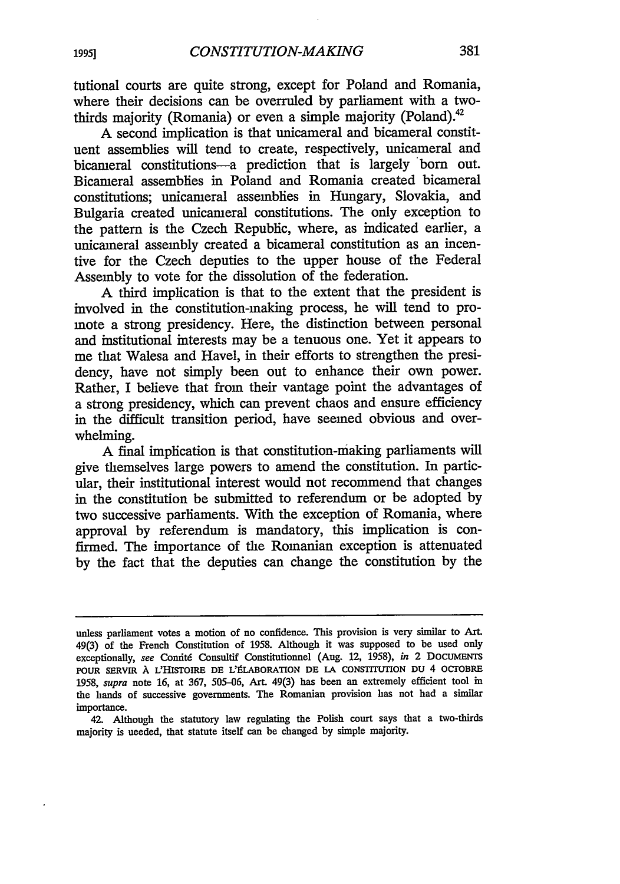tutional courts are quite strong, except for Poland and Romania, where their decisions can be overruled by parliament with a twothirds majority (Romania) or even a simple majority (Poland).<sup>42</sup>

A second implication is that unicameral and bicameral constituent assemblies will tend to create, respectively, unicameral and bicameral constitutions-a prediction that is largely born out. Bicameral assemblies in Poland and Romania created bicameral constitutions; unicameral assemblies in Hungary, Slovakia, and Bulgaria created unicameral constitutions. The only exception to the pattern is the Czech Republic, where, as indicated earlier, a unicameral assembly created a bicameral constitution as an incentive for the Czech deputies to the upper house of the Federal Assembly to vote for the dissolution of the federation.

A third implication is that to the extent that the president is involved in the constitution-making process, he will tend to promote a strong presidency. Here, the distinction between personal and institutional interests may be a tenuous one. Yet it appears to me that Walesa and Havel, in their efforts to strengthen the presidency, have not simply been out to enhance their own power. Rather, I believe that from their vantage point the advantages of a strong presidency, which can prevent chaos and ensure efficiency in the difficult transition period, have seemed obvious and overwhelming.

A final implication is that constitution-making parliaments will give themselves large powers to amend the constitution. In particular, their institutional interest would not recommend that changes in the constitution be submitted to referendum or be adopted by two successive parliaments. With the exception of Romania, where approval by referendum is mandatory, this implication is confirmed. The importance of the Romanian exception is attenuated by the fact that the deputies can change the constitution by the

unless parliament votes a motion of no confidence. This provision is very similar to Art. 49(3) of the French Constitution of 1958. Although it was supposed to be used only exceptionally, *see* Comit6 Consultif Constitutionnel (Aug. 12, 1958), *in* 2 **DOCuMENTS** POUR SERVIR À L'HISTOIRE DE L'ÉLABORATION DE LA CONSTITUTION DU 4 OCTOBRE **1958,** *supra* note **16,** at 367, 505-06, Art. 49(3) has been an extremely efficient tool in the hands of successive governments. The Romanian provision has not had a similar importance.

<sup>42.</sup> Although the statutory law regulating the Polish court says that a two-thirds majority is needed, that statute itself can be changed by simple majority.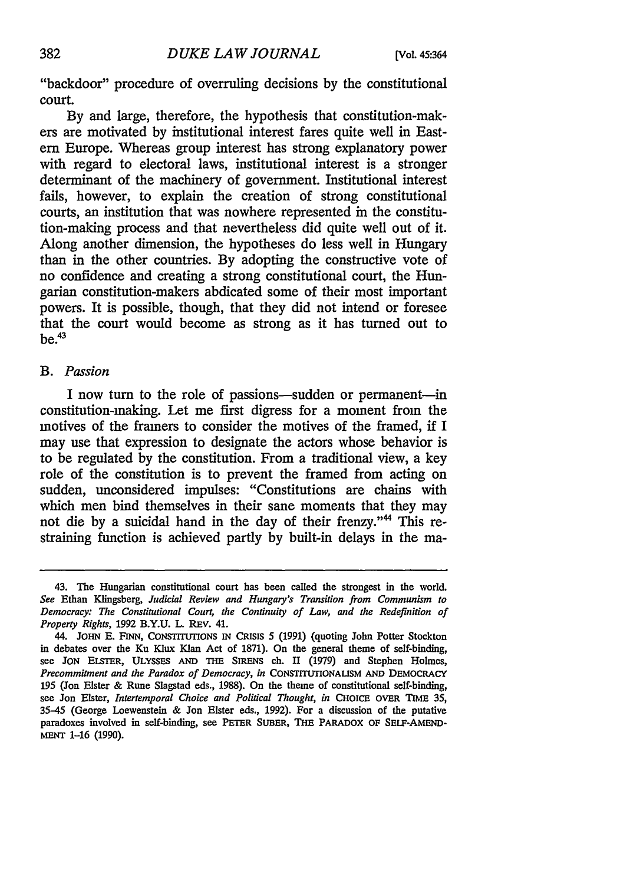"backdoor" procedure of overruling decisions by the constitutional court.

By and large, therefore, the hypothesis that constitution-makers are motivated by institutional interest fares quite well in Eastern Europe. Whereas group interest has strong explanatory power with regard to electoral laws, institutional interest is a stronger determinant of the machinery of government. Institutional interest fails, however, to explain the creation of strong constitutional courts, an institution that was nowhere represented in the constitution-making process and that nevertheless did quite well out of it. Along another dimension, the hypotheses do less well in Hungary than in the other countries. By adopting the constructive vote of no confidence and creating a strong constitutional court, the Hungarian constitution-makers abdicated some of their most important powers. It is possible, though, that they did not intend or foresee that the court would become as strong as it has turned out to  $be.<sup>43</sup>$ 

#### *B. Passion*

I now turn to the role of passions-sudden or permanent-in constitution-making. Let me first digress for a moment from the motives of the framers to consider the motives of the framed, if I may use that expression to designate the actors whose behavior is to be regulated by the constitution. From a traditional view, a key role of the constitution is to prevent the framed from acting on sudden, unconsidered impulses: "Constitutions are chains with which men bind themselves in their sane moments that they may not die by a suicidal hand in the day of their frenzy."<sup>44</sup> This restraining function is achieved partly by built-in delays in the ma-

<sup>43.</sup> The Hungarian constitutional court has been called the strongest in the world. *See* Ethan Klingsberg, *Judicial Review and Hungary's Transition from Communism to Democracy: The Constitutional Court, the Continuity of Law, and the Redefinition of Property Rights,* 1992 B.Y.U. **L.** REv. 41.

**<sup>44.</sup> JOHN E. FINN, CONSTITUTIONS IN CRISIS** 5 (1991) (quoting John Potter Stockton in debates over the Ku Klux Klan Act of 1871). On the general theme of self-binding, see **JON** ELSTER, **ULYSSES AND THE SIRENS Ch.** II (1979) and Stephen Holmes, *Precommitment and the Paradox of Democracy, in* CONSTITUTIONALISM **AND** DEMOCRACY 195 (Jon Elster & Rune Slagstad eds., 1988). On the theme of constitutional self-binding, see Jon Elster, *Intertemporal Choice and Political Thought, in* **CHOICE OVER** TIME 35, 35-45 (George Loewenstein & Jon Elster eds., 1992). For a discussion of the putative paradoxes involved in self-binding, see **PETER SUBER, THE** PARADOX **OF SELF-AMEND-MENT** 1-16 (1990).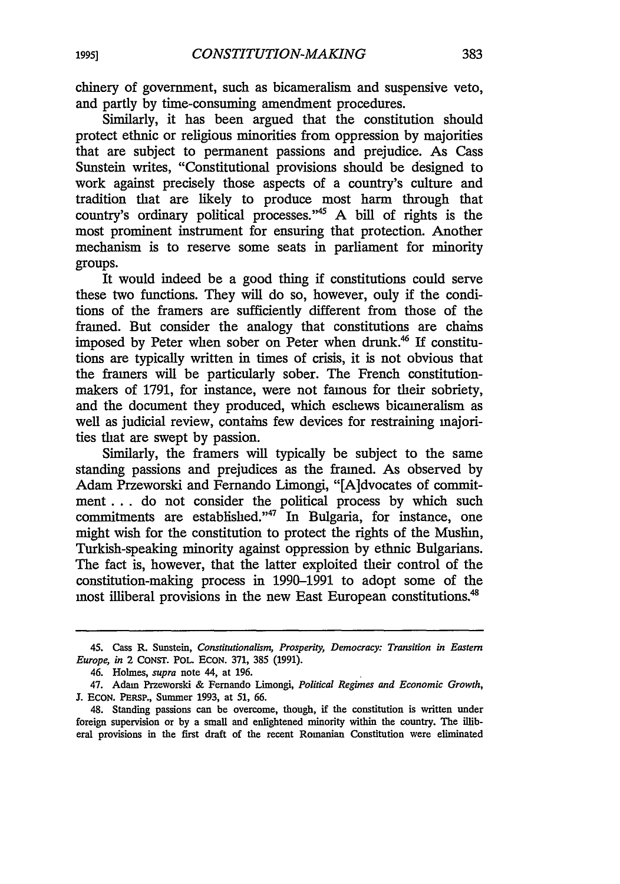chinery of government, such as bicameralism and suspensive veto, and partly by time-consuming amendment procedures.

Similarly, it has been argued that the constitution should protect ethnic or religious minorities from oppression by majorities that are subject to permanent passions and prejudice. As Cass Sunstein writes, "Constitutional provisions should be designed to work against precisely those aspects of a country's culture and tradition that are likely to produce most harm through that country's ordinary political processes."<sup>45</sup> A bill of rights is the most prominent instrument for ensuring that protection. Another mechanism is to reserve some seats in parliament for minority groups.

It would indeed be a good thing if constitutions could serve these two functions. They will do so, however, only if the conditions of the framers are sufficiently different from those of the framed. But consider the analogy that constitutions are chains imposed by Peter when sober on Peter when drunk.<sup>46</sup> If constitutions are typically written in times of crisis, it is not obvious that the framers will be particularly sober. The French constitutionmakers of 1791, for instance, were not famous for their sobriety, and the document they produced, which eschews bicameralism as well as judicial review, contains few devices for restraining majorities that are swept by passion.

Similarly, the framers will typically be subject to the same standing passions and prejudices as the framed. As observed by Adam Przeworski and Fernando Limongi, "[A]dvocates of commitment... do not consider the political process by which such commitments are established." $47$  In Bulgaria, for instance, one might wish for the constitution to protect the rights of the Muslim, Turkish-speaking minority against oppression by ethnic Bulgarians. The fact is, however, that the latter exploited their control of the constitution-making process in 1990-1991 to adopt some of the most illiberal provisions in the new East European constitutions.<sup>48</sup>

<sup>45.</sup> Cass R. Sunstein, *Constitutionalism, Prosperity, Democracy: Transition in Eastern Europe, in* 2 CONST. POL. ECON. 371, 385 (1991).

<sup>46.</sup> Holmes, *supra* note 44, at 196.

<sup>47.</sup> Adam Przeworski & Fernando Limongi, *Political Regimes and Economic Growth,* J. ECON. PERSP., Summer 1993, at **51,** 66.

<sup>48.</sup> Standing passions can be overcome, though, if the constitution is written under foreign supervision or by a small and enlightened minority within the country. The illiberal provisions in the first draft of the recent Romanian Constitution were eliminated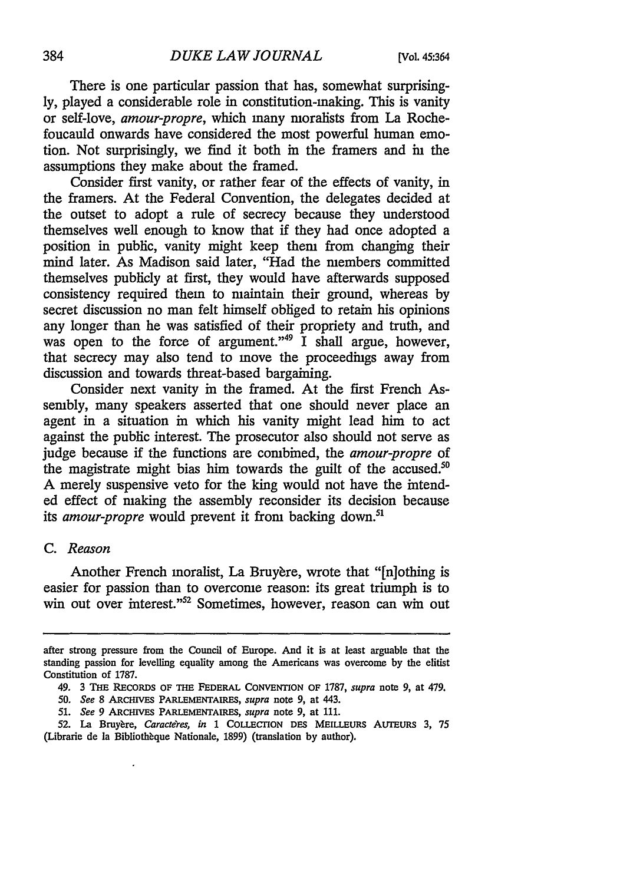There is one particular passion that has, somewhat surprisingly, played a considerable role in constitution-making. This is vanity or self-love, *amour-propre,* which many moralists from La Rochefoucauld onwards have considered the most powerful human emotion. Not surprisingly, we find it both in the framers and in the assumptions they make about the framed.

Consider first vanity, or rather fear of the effects of vanity, in the framers. At the Federal Convention, the delegates decided at the outset to adopt a rule of secrecy because they understood themselves well enough to know that if they had once adopted a position in public, vanity might keep them from changing their mind later. As Madison said later, "Had the members committed themselves publicly at first, they would have afterwards supposed consistency required them to maintain their ground, whereas by secret discussion no man felt himself obliged to retain his opinions any longer than he was satisfied of their propriety and truth, and was open to the force of argument." $49$  I shall argue, however, that secrecy may also tend to move the proceedings away from discussion and towards threat-based bargaining.

Consider next vanity in the framed. At the first French Assembly, many speakers asserted that one should never place an agent in a situation in which his vanity might lead him to act against the public interest. The prosecutor also should not serve as judge because if the functions are combined, the *amour-propre* of the magistrate might bias him towards the guilt of the accused.<sup>50</sup> A merely suspensive veto for the king would not have the intended effect of making the assembly reconsider its decision because its *amour-propre* would prevent it from backing down.<sup>51</sup>

## *C. Reason*

Another French moralist, La Bruyère, wrote that "[n]othing is easier for passion than to overcome reason: its great triumph is to win out over interest."<sup>52</sup> Sometimes, however, reason can win out

52. La Bruybre, *Caracteres, in* 1 **COLLECTION DES MEILLEURS AUTEURS 3,** 75 (Librarie de la Bibliothèque Nationale, 1899) (translation by author).

after strong pressure from the Council of Europe. And it is at least arguable that the standing passion for levelling equality among the Americans was overcome **by** the elitist Constitution of 1787.

<sup>49.</sup> 3 **THE RECORDS OF THE FEDERAL CONVENTION OF** 1787, *supra* note 9, at 479.

**<sup>50.</sup>** See *8* ARCHIVES PARLEMENTAIRES, *supra* note 9, at 443.

*<sup>51.</sup> See* 9 ARCHIVES PARLEMENTAIRES, *supra* note 9, at **111.**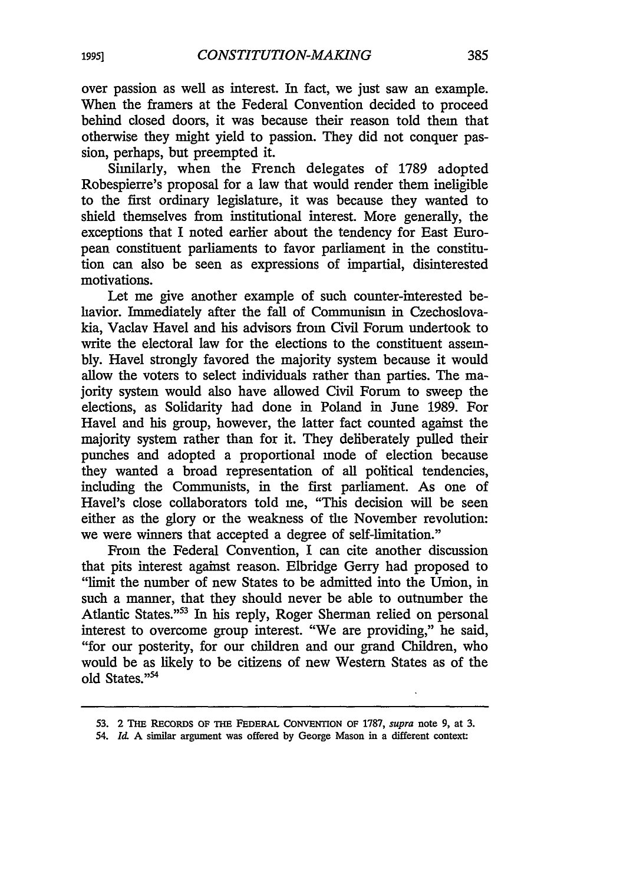over passion as well as interest. In fact, we just saw an example. When the framers at the Federal Convention decided to proceed behind closed doors, it was because their reason told them that otherwise they might yield to passion. They did not conquer passion, perhaps, but preempted it.

Similarly, when the French delegates of 1789 adopted Robespierre's proposal for a law that would render them ineligible to the first ordinary legislature, it was because they wanted to shield themselves from institutional interest. More generally, the exceptions that I noted earlier about the tendency for East European constituent parliaments to favor parliament in the constitution can also be seen as expressions of impartial, disinterested motivations.

Let me give another example of such counter-interested behavior. Immediately after the fall of Communism in Czechoslovakia, Vaclav Havel and his advisors from Civil Forum undertook to write the electoral law for the elections to the constituent assembly. Havel strongly favored the majority system because it would allow the voters to select individuals rather than parties. The majority system would also have allowed Civil Forum to sweep the elections, as Solidarity had done in Poland in June 1989. For Havel and his group, however, the latter fact counted against the majority system rather than for it. They deliberately pulled their punches and adopted a proportional mode of election because they wanted a broad representation of all political tendencies, including the Communists, in the first parliament. As one of Havel's close collaborators told me, "This decision will be seen either as the glory or the weakness of the November revolution: we were winners that accepted a degree of self-limitation."

From the Federal Convention, I can cite another discussion that pits interest against reason. Elbridge Gerry had proposed to "limit the number of new States to be admitted into the Union, in such a manner, that they should never be able to outnumber the Atlantic States."53 In his reply, Roger Sherman relied on personal interest to overcome group interest. "We are providing," he said, "for our posterity, for our children and our grand Children, who would be as likely to be citizens of new Western States as of the old States. '

**<sup>53.</sup>** 2 **THE RECORDS OF THE FEDERAL CONVENTION OF** 1787, *supra* note **9,** at **3.**

<sup>54.</sup> *Id* A similar argument was offered by George Mason in a different context: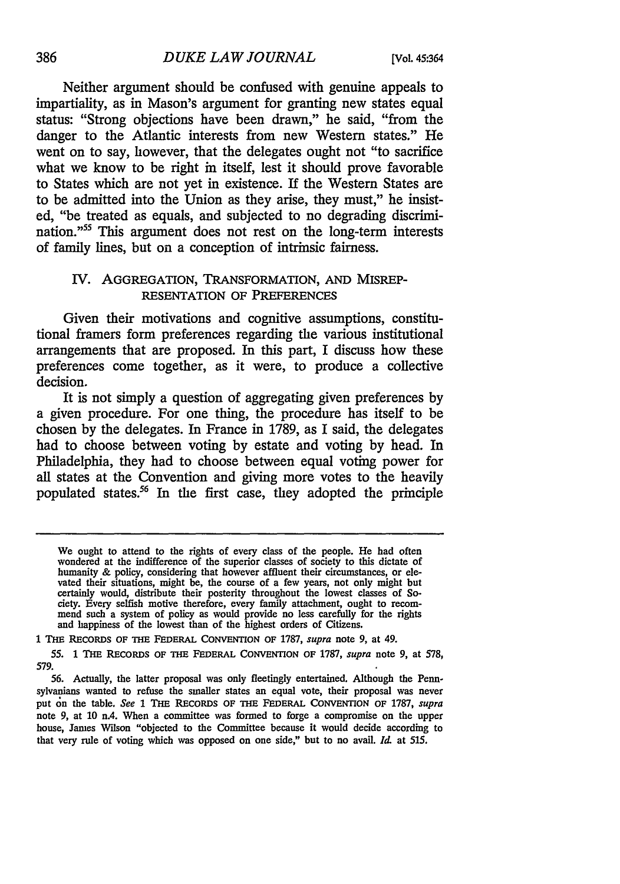Neither argument should **be** confused with genuine appeals to impartiality, as in Mason's argument for granting new states equal status: "Strong objections have been drawn," he said, "from the danger to the Atlantic interests from new Western states." He went on to say, however, that the delegates ought not "to sacrifice what we know to be right in itself, lest it should prove favorable to States which are not yet in existence. If the Western States are to be admitted into the Union as they arise, they must," he insisted, "be treated as equals, and subjected to no degrading **discrimi**nation."<sup>55</sup> This argument does not rest on the long-term interests of family lines, but on a conception of intrinsic fairness.

## IV. AGGREGATION, TRANSFORMATION, AND MISREP-RESENTATION OF PREFERENCES

Given their motivations and cognitive assumptions, constitutional framers form preferences regarding the various institutional arrangements that are proposed. In this part, I discuss how these preferences come together, as it were, to produce a collective decision.

It is not simply a question of aggregating given preferences by a given procedure. For one thing, the procedure has itself to be chosen by the delegates. In France in 1789, as I said, the delegates had to choose between voting by estate and voting by head. In Philadelphia, they had to choose between equal voting power for all states at the Convention and giving more votes to the heavily populated states.56 In the first case, they adopted the principle

1 **THE RECORDS** OF **THE FEDERAL** CONVENTION OF 1787, *supra* note 9, at 49.

55. 1 **THE** RECORDS OF **THE** FEDERAL **CONVENTION** OF 1787, *supra* note 9, at 578, 579.

56. Actually, the latter proposal was only fleetingly entertained. Although the Pennsylvanians wanted to refuse the smaller states an equal vote, their proposal was never put on the table. *See* **1 THE RECORDS** OF **THE** FEDERAL **CONVENTION** OF 1787, *supra* note 9, at 10 n.4. When a committee was formed to forge a compromise on the upper house, James Wilson "objected to the Committee because it would decide according to that very rule of voting which was opposed on one side," but to no avail. *Id.* at 515.

We ought to attend to the rights of every class of the people. He had often wondered at the indifference of the superior classes of society to this dictate of humanity & policy, considering that however affluent their circumstances, or elevated their situations, might be, the course of a few years, not only might but certainly would, distribute their posterity throughout the lowest classes of Society. Every selfish motive therefore, every family attachment, ought to recom- mend such a system of policy as would provide no less carefully for the rights and such a system of policy as would provide no less carefully for the rights and happiness of the lowest than of the highest orders of Citizens.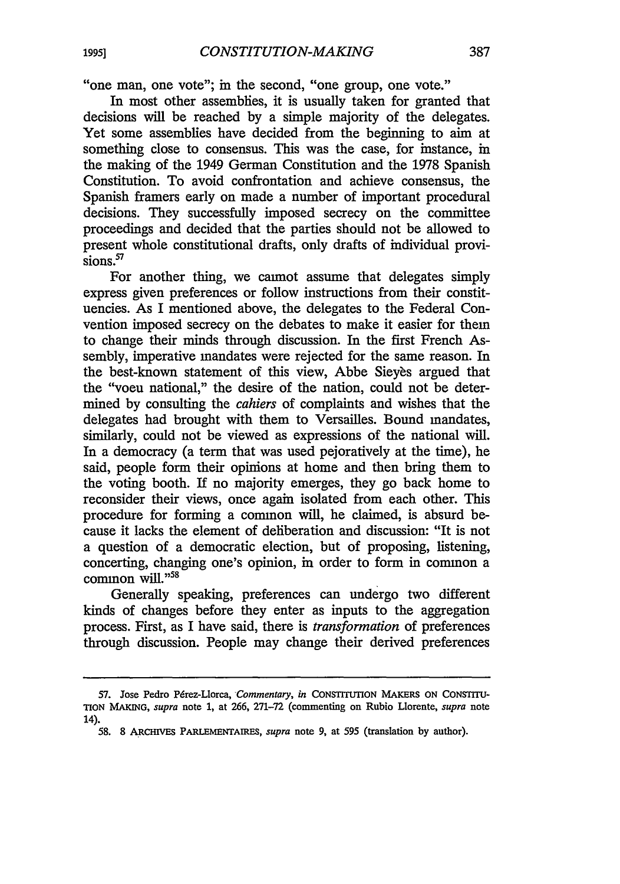"one man, one vote"; in the second, "one group, one vote."

In most other assemblies, it is usually taken for granted that decisions will be reached by a simple majority of the delegates. Yet some assemblies have decided from the beginning to aim at something close to consensus. This was the case, for instance, in the making of the 1949 German Constitution and the 1978 Spanish Constitution. To avoid confrontation and achieve consensus, the Spanish framers early on made a number of important procedural decisions. They successfully imposed secrecy on the committee proceedings and decided that the parties should not be allowed to present whole constitutional drafts, only drafts of individual provi $sions.<sup>57</sup>$ 

For another thing, we cannot assume that delegates simply express given preferences or follow instructions from their constituencies. As I mentioned above, the delegates to the Federal Convention imposed secrecy on the debates to make it easier for them to change their minds through discussion. In the first French Assembly, imperative mandates were rejected for the same reason. In the best-known statement of this view, Abbe Sieyes argued that the "voeu national," the desire of the nation, could not be determined by consulting the *cahiers* of complaints and wishes that the delegates had brought with them to Versailles. Bound mandates, similarly, could not be viewed as expressions of the national will. In a democracy (a term that was used pejoratively at the time), he said, people form their opinions at home and then bring them to the voting booth. If no majority emerges, they go back home to reconsider their views, once again isolated from each other. This procedure for forming a common will, he claimed, is absurd because it lacks the element of deliberation and discussion: "It is not a question of a democratic election, but of proposing, listening, concerting, changing one's opinion, in order to form in common a common will."58

Generally speaking, preferences can undergo two different kinds of changes before they enter as inputs to the aggregation process. First, as I have said, there is *transformation* of preferences through discussion. People may change their derived preferences

<sup>57.</sup> Jose Pedro Pérez-Llorca, *Commentary*, in CONSTITUTION MAKERS ON CONSTITU-**ION** MAKING, *supra* note **1,** at **266, 271-72** (commenting on Rubio Llorente, *supra* note 14).

**<sup>58.</sup> 8 ARCHIVEs** PARLEMENTAIRES, *supra* note **9,** at 595 (translation **by** author).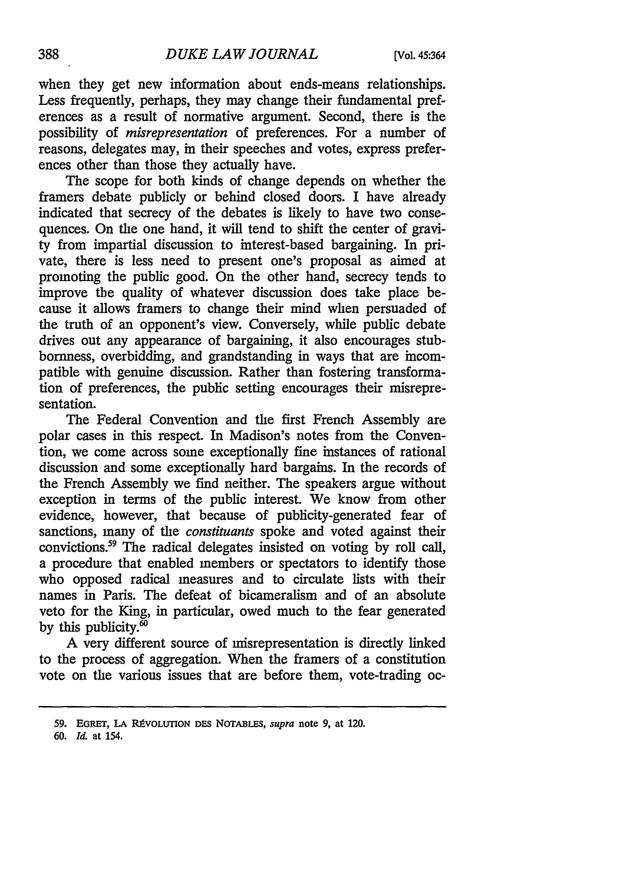when they get new information about ends-means relationships. Less frequently, perhaps, they may change their fundamental preferences as a result of normative argument. Second, there is the possibility of *misrepresentation* of preferences. For a number of reasons, delegates may, in their speeches and votes, express preferences other than those they actually have.

The scope for both kinds of change depends on whether the framers debate publicly or behind closed doors. I have already indicated that secrecy of the debates is likely to have two consequences. On the one hand, it will tend to shift the center of gravity from impartial discussion to interest-based bargaining. In private, there is less need to present one's proposal as aimed at promoting the public good. On the other hand, secrecy tends to improve the quality of whatever discussion does take place because it allows framers to change their mind when persuaded of the truth of an opponent's view. Conversely, while public debate drives out any appearance of bargaining, it also encourages stubbornness, overbidding, and grandstanding in ways that are incompatible with genuine discussion. Rather than fostering transformation of preferences, the public setting encourages their misrepresentation.

The Federal Convention and the first French Assembly are polar cases in this respect. In Madison's notes from the Convention, we come across some exceptionally fine instances of rational discussion and some exceptionally hard bargains. In the records of the French Assembly we find neither. The speakers argue without exception in terms of the public interest. We know from other evidence, however, that because of publicity-generated fear of sanctions, many of the *constituants* spoke and voted against their convictions.59 The radical delegates insisted on voting by roll call, a procedure that enabled members or spectators to identify those who opposed radical measures and to circulate lists with their names in Paris. The defeat of bicameralism and of an absolute veto for the King, in particular, owed much to the fear generated by this publicity.<sup>60</sup>

A very different source of misrepresentation is directly linked to the process of aggregation. When the framers of a constitution vote on the various issues that are before them, vote-trading oc-

**60.** *Id.* at 154.

<sup>59.</sup> EGRET, LA RÉVOLUTION DES NOTABLES, *supra* note 9, at 120.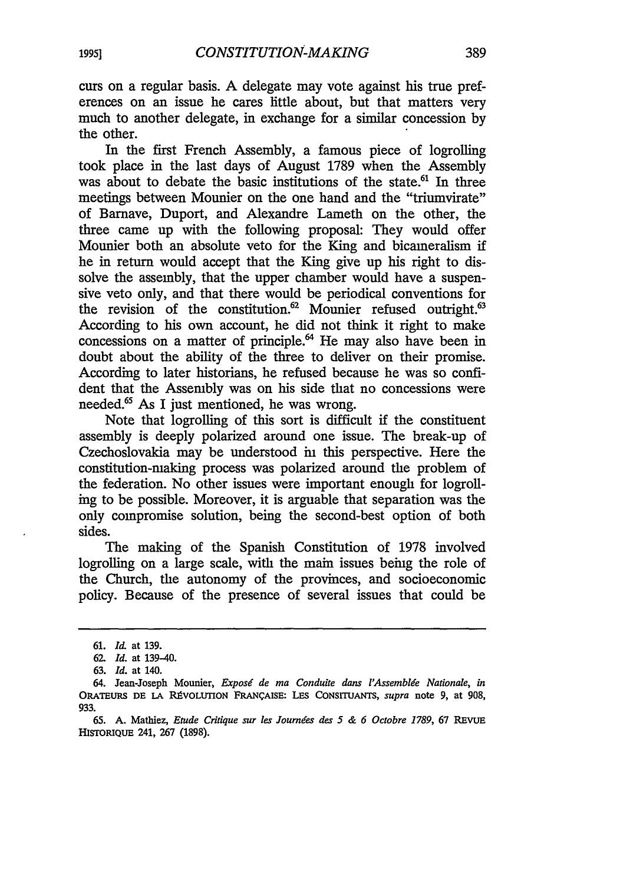curs on a regular basis. A delegate may vote against his true preferences on an issue he cares little about, but that matters very much to another delegate, in exchange for a similar concession by the other.

In the first French Assembly, a famous piece of logrolling took place in the last days of August 1789 when the Assembly was about to debate the basic institutions of the state.<sup>61</sup> In three meetings between Mounier on the one hand and the "triumvirate" of Barnave, Duport, and Alexandre Lameth on the other, the three came up with the following proposal: They would offer Mounier both an absolute veto for the King and bicameralism if he in return would accept that the King give up his right to dissolve the assembly, that the upper chamber would have a suspensive veto only, and that there would be periodical conventions for the revision of the constitution. $62$  Mounier refused outright. $63$ According to his own account, he did not think it right to make concessions on a matter of principle.<sup>64</sup> He may also have been in doubt about the ability of the three to deliver on their promise. According to later historians, he refused because he was so confident that the Assembly was on his side that no concessions were needed.<sup>65</sup> As I just mentioned, he was wrong.

Note that logrolling of this sort is difficult if the constituent assembly is deeply polarized around one issue. The break-up of Czechoslovakia may be understood in this perspective. Here the constitution-making process was polarized around the problem of the federation. No other issues were important enough for logrolling to be possible. Moreover, it is arguable that separation was the only compromise solution, being the second-best option of both sides.

The making of the Spanish Constitution of 1978 involved logrolling on a large scale, with the main issues being the role of the Church, the autonomy of the provinces, and socioeconomic policy. Because of the presence of several issues that could be

<sup>61.</sup> **Id.** at 139.

<sup>62.</sup> *Id.* at 139-40.

<sup>63.</sup> *Id.* at 140.

<sup>64.</sup> Jean-Joseph Mounier, *Exposd de ma Conduite dans l'Assemblde Nationale, in* **ORATEURS DE LA RÉVOLUTION FRANÇAISE: LES CONSITUANTS,** *supra* **note 9, at 908, 933.**

**<sup>65.</sup> A.** Mathiez, *Etude Critique sur les Journdes des 5 & 6 Octobre 1789,* **67 REVUE HISTORiQUE** 241, **267** (1898).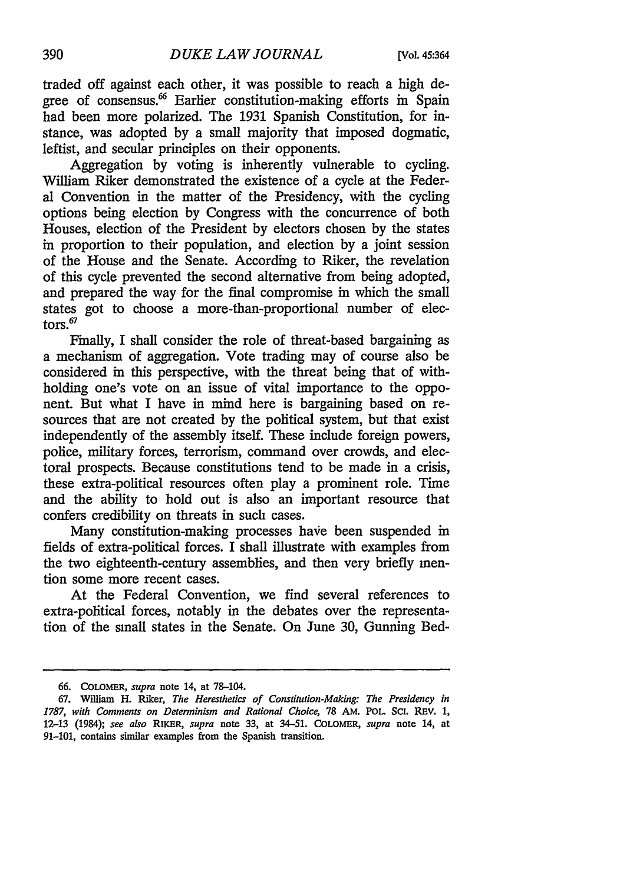traded off against each other, it was possible to reach a high degree of consensus.<sup>66</sup> Earlier constitution-making efforts in Spain had been more polarized. The 1931 Spanish Constitution, for instance, was adopted by a small majority that imposed dogmatic, leftist, and secular principles on their opponents.

Aggregation by voting is inherently vulnerable to cycling. William Riker demonstrated the existence of a cycle at the Federal Convention in the matter of the Presidency, with the cycling options being election by Congress with the concurrence of both Houses, election of the President by electors chosen by the states in proportion to their population, and election by a joint session of the House and the Senate. According to Riker, the revelation of this cycle prevented the second alternative from being adopted, and prepared the way for the final compromise in which the small states got to choose a more-than-proportional number of electors. $67$ 

Finally, I shall consider the role of threat-based bargaining as a mechanism of aggregation. Vote trading may of course also be considered in this perspective, with the threat being that of withholding one's vote on an issue of vital importance to the opponent. But what I have in mind here is bargaining based on resources that are not created by the political system, but that exist independently of the assembly itself. These include foreign powers, police, military forces, terrorism, command over crowds, and electoral prospects. Because constitutions tend to be made in a crisis, these extra-political resources often play a prominent role. Time and the ability to hold out is also an important resource that confers credibility on threats in such cases.

Many constitution-making processes have been suspended in fields of extra-political forces. I shall illustrate with examples from the two eighteenth-century assemblies, and then very briefly mention some more recent cases.

At the Federal Convention, we find several references to extra-political forces, notably in the debates over the representation of the small states in the Senate. On June 30, Gunning Bed-

<sup>66.</sup> COLOMER, *supra* note 14, at 78-104.

<sup>67.</sup> William H. Riker, *The Heresthetics of Constitution-Making: The Presidency in 1787, with Comments on Determinism and Rational Choice,* 78 AM. POL **SCL.** REV. 1, 12-13 (1984); *see also RIKER, supra* note 33, at 34-51. COLOMER, *supra* note 14, at 91-101, contains similar examples from the Spanish transition.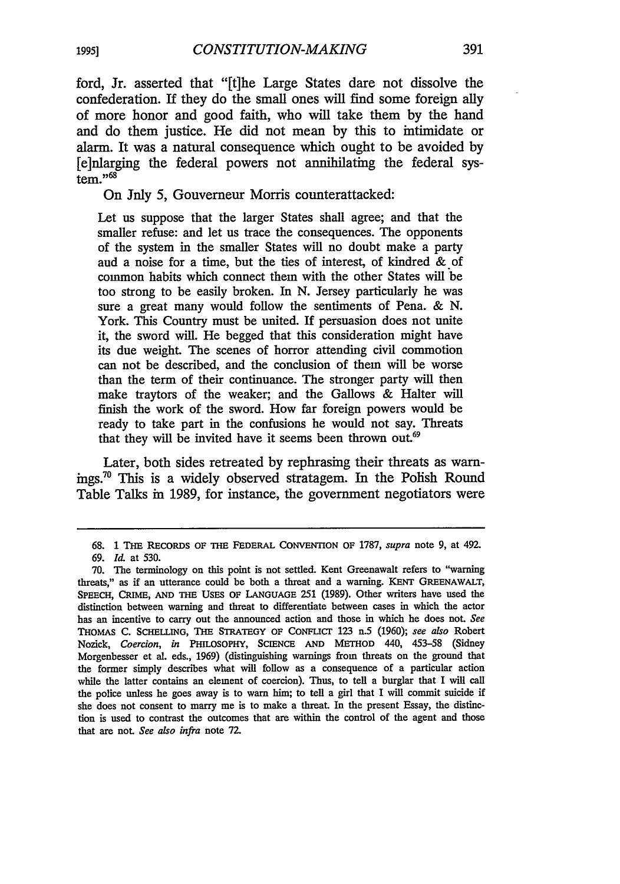ford, Jr. asserted that "[tihe Large States dare not dissolve the confederation. If they do the small ones will find some foreign ally of more honor and good faith, who will take them by the hand and do them justice. He did not mean by this to intimidate or alarm. It was a natural consequence which ought to be avoided by [e]nlarging the federal powers not annihilating the federal sys $t_{\rm em.}^{111}$ 

On July 5, Gouverneur Morris counterattacked:

Let us suppose that the larger States shall agree; and that the smaller refuse: and let us trace the consequences. The opponents of the system in the smaller States will no doubt make a party and a noise for a time, but the ties of interest, of kindred & of common habits which connect them with the other States will be too strong to be easily broken. In N. Jersey particularly he was sure a great many would follow the sentiments of Pena. & N. York. This Country must be united. If persuasion does not unite it, the sword will. He begged that this consideration might have its due weight. The scenes of horror attending civil commotion can not be described, and the conclusion of them will be worse than the term of their continuance. The stronger party will then make traytors of the weaker; and the Gallows & Halter will finish the work of the sword. How far foreign powers would be ready to take part in the confusions he would not say. Threats that they will be invited have it seems been thrown out.<sup>69</sup>

Later, both sides retreated by rephrasing their threats as warnings.7 " This is a widely observed stratagem. In the Polish Round Table Talks in 1989, for instance, the government negotiators were

<sup>68. 1</sup> **THE** RECORDS OF **THE FEDERAL CONVENTION OF 1787,** *supra* note **9,** at 492. *69.* Id. at 530.

<sup>70.</sup> The terminology on this point is not settled. Kent Greenawalt refers to "warning threats," as if an utterance could be both a threat and a warning. **KENT** GREENAWALT, **SPEECH,** CRIME, **AND THE USES** OF **LANGUAGE 251** (1989). Other writers have used the distinction between warning and threat to differentiate between cases in which the actor has an incentive to carry out the announced action and those in which he does not. *See* THOMAS C. **SCHELLING, THE** STRATEGY OF CONFLICT **123** n.5 (1960); *see also* Robert Nozick, *Coercion, in* PHILOSOPHY, **SCIENCE AND METHOD** 440, 453-58 (Sidney Morgenbesser et al. eds., 1969) (distinguishing warnings from threats on the ground that the former simply describes what will follow as a consequence of a particular action while the latter contains an element of coercion). Thus, to tell a burglar that I will call the police unless he goes away is to warn him; to tell a girl that I will commit suicide if she does not consent to marry me is to make a threat. In the present Essay, the distinction is used to contrast the outcomes that are within the control of the agent and those that are not. *See also infra* note 72.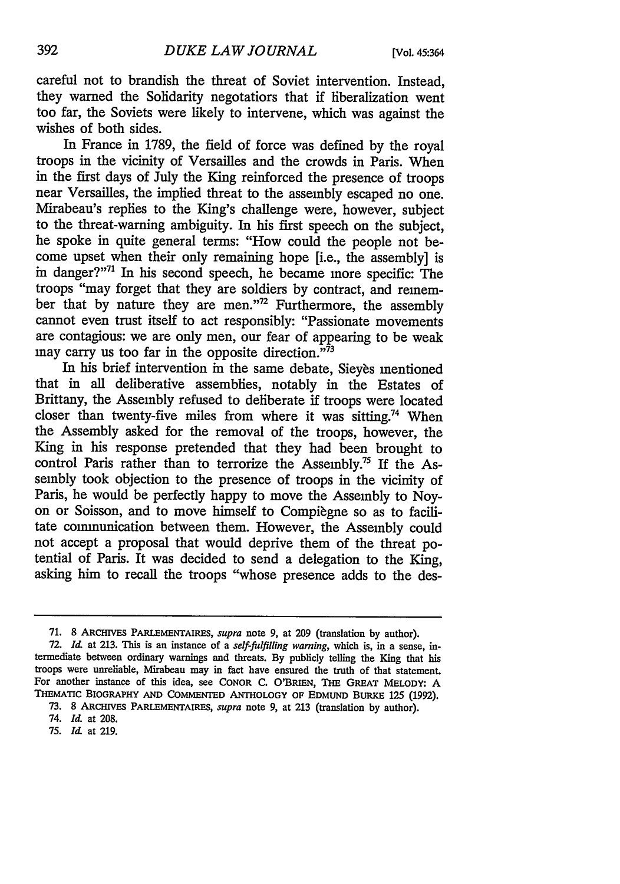careful not to brandish the threat of Soviet intervention. Instead, they warned the Solidarity negotatiors that if liberalization went too far, the Soviets were likely to intervene, which was against the wishes of both sides.

**In** France in 1789, the field of force was defined by the royal troops in the vicinity of Versailles and the crowds in Paris. When in the first days of July the King reinforced the presence of troops near Versailles, the implied threat to the assembly escaped no one. Mirabeau's replies to the King's challenge were, however, subject to the threat-warning ambiguity. In his first speech on the subject, he spoke in quite general terms: "How could the people not become upset when their only remaining hope [i.e., the assembly] is in danger? $n^{71}$  In his second speech, he became more specific: The troops "may forget that they are soldiers by contract, and remember that by nature they are men."<sup>72</sup> Furthermore, the assembly cannot even trust itself to act responsibly: "Passionate movements are contagious: we are only men, our fear of appearing to be weak may carry us too far in the opposite direction."<sup>73</sup>

In his brief intervention in the same debate, Sieves mentioned that in all deliberative assemblies, notably in the Estates of Brittany, the Assembly refused to deliberate if troops were located closer than twenty-five miles from where it was sitting.<sup>74</sup> When the Assembly asked for the removal of the troops, however, the King in his response pretended that they had been brought to control Paris rather than to terrorize the Assembly.<sup>75</sup> If the Assembly took objection to the presence of troops in the vicinity of Paris, he would be perfectly happy to move the Assembly to Noyon or Soisson, and to move himself to Compiègne so as to facilitate communication between them. However, the Assembly could not accept a proposal that would deprive them of the threat potential of Paris. It was decided to send a delegation to the King, asking him to recall the troops "whose presence adds to the des-

**75.** *Id.* at **219.**

**<sup>71. 8</sup>** ARcHIvEs PARLEMENTAIRES, *supra* note *9,* at 209 (translation **by** author).

<sup>72.</sup> *Id.* at 213. This is an instance of a *self-fulfilling warning,* which is, in a sense, intermediate between ordinary warnings and threats. By publicly telling the King that his troops were unreliable, Mirabeau may in fact have ensured the truth of that statement. For another instance of this idea, see CONOR **C.** O'BRIEN, **THE GREAT MELODY:** A **THEMATIC BIOGRAPHY AND COMMENTED ANTHOLOGY OF EDMUND BURKE** 125 **(1992).**

**<sup>73. 8</sup>** ARCHIVES **PARLEMENTAIRES,** *supra* note **9,** at **213** (translation **by** author).

<sup>74.</sup> *Id.* at **208.**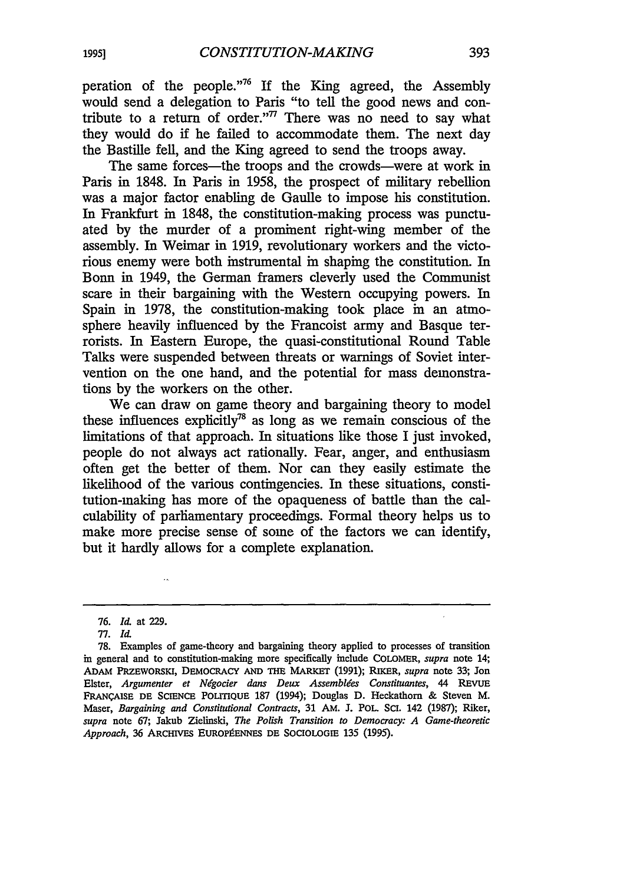peration of the people. $176$  If the King agreed, the Assembly would send a delegation to Paris "to tell the good news and contribute to a return of order."<sup>77</sup> There was no need to say what they would do if he failed to accommodate them. The next day the Bastille fell, and the King agreed to send the troops away.

The same forces—the troops and the crowds—were at work in Paris in 1848. In Paris in 1958, the prospect of military rebellion was a major factor enabling de Gaulle to impose his constitution. In Frankfurt in 1848, the constitution-making process was punctuated by the murder of a prominent right-wing member of the assembly. In Weimar in 1919, revolutionary workers and the victorious enemy were both instrumental in shaping the constitution. In Bonn in 1949, the German framers cleverly used the Communist scare in their bargaining with the Western occupying powers. In Spain in 1978, the constitution-making took place in an atmosphere heavily influenced by the Francoist army and Basque terrorists. In Eastern Europe, the quasi-constitutional Round Table Talks were suspended between threats or warnings of Soviet intervention on the one hand, and the potential for mass demonstrations by the workers on the other.

We can draw on game theory and bargaining theory to model these influences explicitly<sup>78</sup> as long as we remain conscious of the limitations of that approach. In situations like those I just invoked, people do not always act rationally. Fear, anger, and enthusiasm often get the better of them. Nor can they easily estimate the likelihood of the various contingencies. In these situations, constitution-making has more of the opaqueness of battle than the calculability of parliamentary proceedings. Formal theory helps us to make more precise sense of some of the factors we can identify, but it hardly allows for a complete explanation.

<sup>76.</sup> ld. at 229.

<sup>77.</sup> Id

<sup>78.</sup> Examples of game-theory and bargaining theory applied to processes of transition in general and to constitution-making more specifically include COLOMER, *supra* note 14; ADAM PRzEwORsIu, DEMOCRACY **AND** THE MARKET **(1991);** RIKER, *supra* note **33;** Jon Elster, *Argumenter et Ndgocier dans Deux Assembldes Constituantes,* 44 REVUE FRANÇAISE DE SCIENCE POLITIQUE 187 (1994); Douglas D. Heckathorn & Steven M. Maser, *Bargaining and Constitutional Contracts,* 31 AM. J. POL. **SCI.** 142 (1987); Riker, *supra* note 67; Jakub Zielinski, *The Polish Transition to Democracy: A Game-theoretic* Approach, 36 ARCHIVES EUROPÉENNES DE SOCIOLOGIE 135 (1995).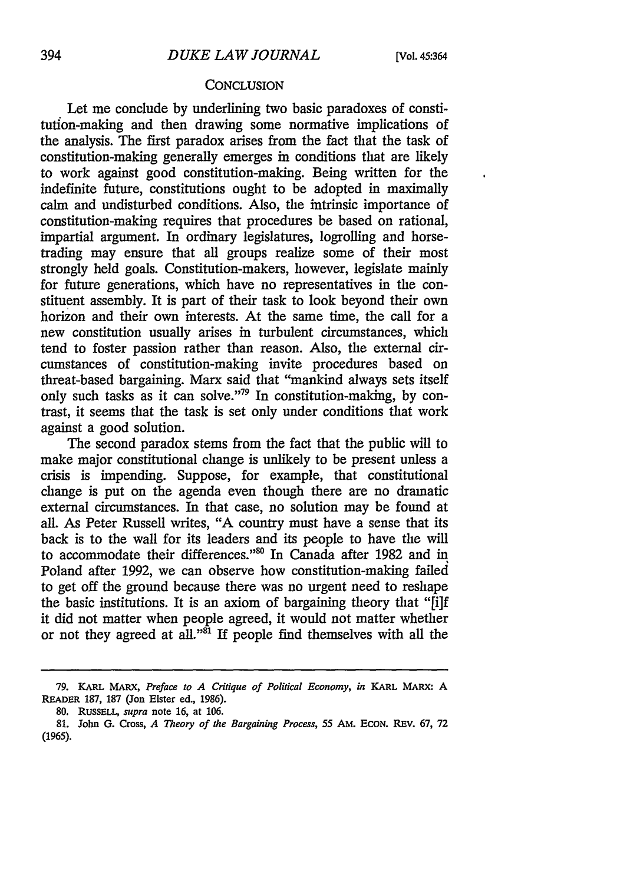#### **CONCLUSION**

Let me conclude by underlining two basic paradoxes of constitution-making and then drawing some normative implications of the analysis. The first paradox arises from the fact that the task of constitution-making generally emerges in conditions that are likely to work against good constitution-making. Being written for the indefinite future, constitutions ought to be adopted in maximally calm and undisturbed conditions. Also, the intrinsic importance of constitution-making requires that procedures be based on rational, impartial argument. In ordinary legislatures, logrolling and horsetrading may ensure that all groups realize some of their most strongly held goals. Constitution-makers, however, legislate mainly for future generations, which have no representatives in the constituent assembly. It is part of their task to look beyond their own horizon and their own interests. At the same time, the call for a new constitution usually arises in turbulent circumstances, which tend to foster passion rather than reason. Also, the external circumstances of constitution-making invite procedures based on threat-based bargaining. Marx said that "mankind always sets itself only such tasks as it can solve."79 In constitution-making, by contrast, it seems that the task is set only under conditions that work against a good solution.

The second paradox stems from the fact that the public will to make major constitutional change is unlikely to be present unless a crisis is impending. Suppose, for example, that constitutional change is put on the agenda even though there are no dramatic external circumstances. In that case, no solution may be found at all. As Peter Russell writes, "A country must have a sense that its back is to the wall for its leaders and its people to have the will to accommodate their differences."<sup>80</sup> In Canada after 1982 and in Poland after 1992, we can observe how constitution-making failed to get off the ground because there was no urgent need to reshape the basic institutions. It is an axiom of bargaining theory that "[i]f it did not matter when people agreed, it would not matter whether or not they agreed at all."<sup> $\delta$ 1</sup> If people find themselves with all the

**<sup>79.</sup>** KARL MARX, *Preface to A Critique of Political Economy, in* KARL MARX: **A** READER **187, 187** (Jon Elster ed., **1986).**

**<sup>80.</sup>** RUSSELL, *supra* note **16,** at **106.**

**<sup>81.</sup>** John **G.** Cross, *A Theory of the Bargaining Process,* 55 **AM. ECON.** REV. **67, 72 (1965).**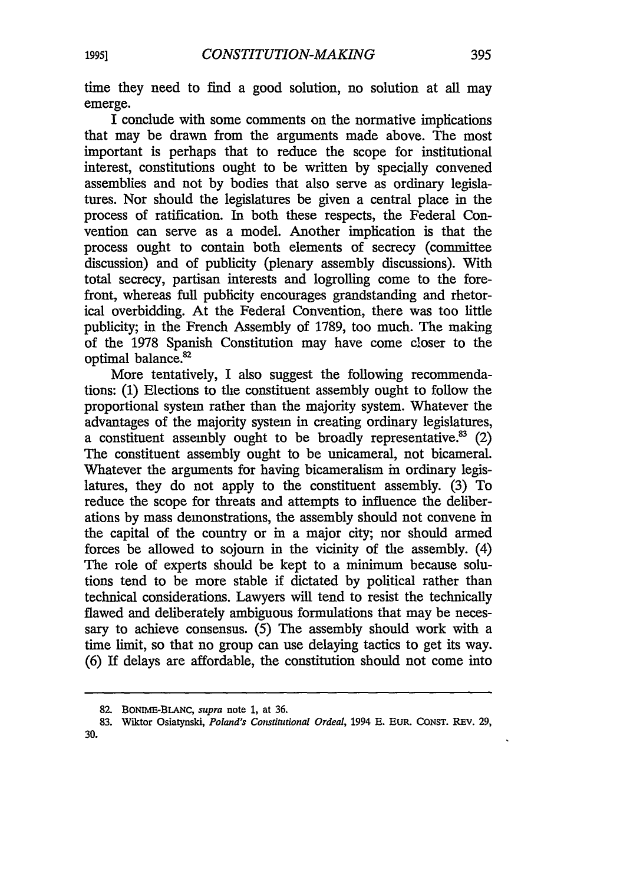time they need to find a good solution, no solution at all may emerge.

I conclude with some comments on the normative implications that may be drawn from the arguments made above. The most important is perhaps that to reduce the scope for institutional interest, constitutions ought to be written by specially convened assemblies and not by bodies that also serve as ordinary legislatures. Nor should the legislatures be given a central place in the process of ratification. In both these respects, the Federal Convention can serve as a model. Another implication is that the process ought to contain both elements of secrecy (committee discussion) and of publicity (plenary assembly discussions). With total secrecy, partisan interests and logrolling come to the forefront, whereas full publicity encourages grandstanding and rhetorical overbidding. At the Federal Convention, there was too little publicity; in the French Assembly of 1789, too much. The making of the 1978 Spanish Constitution may have come closer to the optimal balance.<sup>82</sup>

More tentatively, I also suggest the following recommendations: (1) Elections to the constituent assembly ought to follow the proportional system rather than the majority system. Whatever the advantages of the majority system in creating ordinary legislatures, a constituent assembly ought to be broadly representative.<sup>83</sup>  $(2)$ The constituent assembly ought to be unicameral, not bicameral. Whatever the arguments for having bicameralism in ordinary legislatures, they do not apply to the constituent assembly. (3) To reduce the scope for threats and attempts to influence the deliberations by mass demonstrations, the assembly should not convene in the capital of the country or in a major city; nor should armed forces be allowed to sojourn in the vicinity of the assembly. (4) The role of experts should be kept to a minimum because solutions tend to be more stable if dictated by political rather than technical considerations. Lawyers will tend to resist the technically flawed and deliberately ambiguous formulations that may be necessary to achieve consensus. (5) The assembly should work with a time limit, so that no group can use delaying tactics to get its way. (6) If delays are affordable, the constitution should not come into

<sup>82.</sup> BONIME-BLANC, *supra* note 1, at 36.

<sup>83.</sup> Wiktor Osiatynski, *Poland's Constitutional Ordeal,* 1994 E. EUR. CONST. REv. 29, 30.